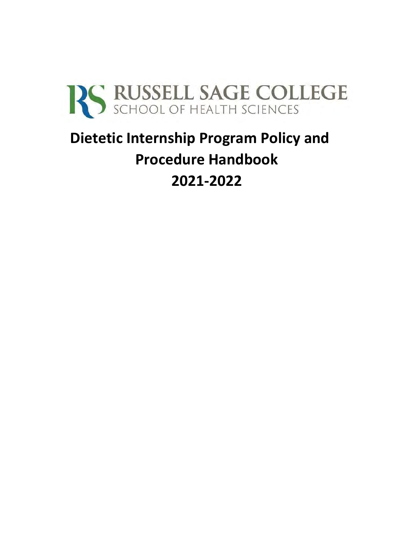

# **Dietetic Internship Program Policy and Procedure Handbook 2021-2022**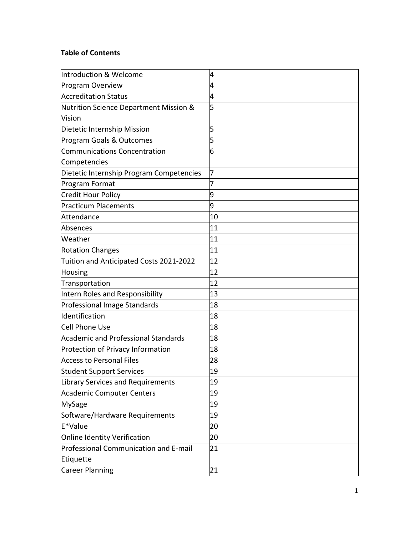# **Table of Contents**

| Introduction & Welcome                     | 4  |
|--------------------------------------------|----|
| Program Overview                           | 4  |
| <b>Accreditation Status</b>                | 4  |
| Nutrition Science Department Mission &     | 5  |
| Vision                                     |    |
| Dietetic Internship Mission                | 5  |
| Program Goals & Outcomes                   | 5  |
| <b>Communications Concentration</b>        | 6  |
| Competencies                               |    |
| Dietetic Internship Program Competencies   | 7  |
| Program Format                             | 7  |
| Credit Hour Policy                         | 9  |
| <b>Practicum Placements</b>                | 9  |
| Attendance                                 | 10 |
| Absences                                   | 11 |
| Weather                                    | 11 |
| <b>Rotation Changes</b>                    | 11 |
| Tuition and Anticipated Costs 2021-2022    | 12 |
| Housing                                    | 12 |
| Transportation                             | 12 |
| Intern Roles and Responsibility            | 13 |
| Professional Image Standards               | 18 |
| ldentification                             | 18 |
| Cell Phone Use                             | 18 |
| <b>Academic and Professional Standards</b> | 18 |
| Protection of Privacy Information          | 18 |
| <b>Access to Personal Files</b>            | 28 |
| <b>Student Support Services</b>            | 19 |
| Library Services and Requirements          | 19 |
| <b>Academic Computer Centers</b>           | 19 |
| <b>MySage</b>                              | 19 |
| Software/Hardware Requirements             | 19 |
| E*Value                                    | 20 |
| Online Identity Verification               | 20 |
| Professional Communication and E-mail      | 21 |
| Etiquette                                  |    |
| Career Planning                            | 21 |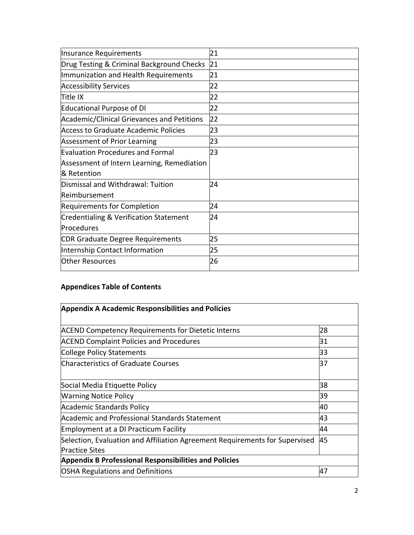| Insurance Requirements                     | 21 |
|--------------------------------------------|----|
| Drug Testing & Criminal Background Checks  | 21 |
| Immunization and Health Requirements       | 21 |
| <b>Accessibility Services</b>              | 22 |
| Title IX                                   | 22 |
| Educational Purpose of DI                  | 22 |
| Academic/Clinical Grievances and Petitions | 22 |
| Access to Graduate Academic Policies       | 23 |
| <b>Assessment of Prior Learning</b>        | 23 |
| <b>Evaluation Procedures and Formal</b>    | 23 |
| Assessment of Intern Learning, Remediation |    |
| & Retention                                |    |
| Dismissal and Withdrawal: Tuition          | 24 |
| Reimbursement                              |    |
| Requirements for Completion                | 24 |
| Credentialing & Verification Statement     | 24 |
| Procedures                                 |    |
| CDR Graduate Degree Requirements           | 25 |
| Internship Contact Information             | 25 |
| <b>Other Resources</b>                     | 26 |

# **Appendices Table of Contents**

| <b>Appendix A Academic Responsibilities and Policies</b>                                             |    |  |
|------------------------------------------------------------------------------------------------------|----|--|
| <b>ACEND Competency Requirements for Dietetic Interns</b>                                            | 28 |  |
| <b>ACEND Complaint Policies and Procedures</b>                                                       | 31 |  |
| <b>College Policy Statements</b>                                                                     | 33 |  |
| <b>Characteristics of Graduate Courses</b>                                                           | 37 |  |
| Social Media Etiquette Policy                                                                        | 38 |  |
| <b>Warning Notice Policy</b>                                                                         | 39 |  |
| <b>Academic Standards Policy</b>                                                                     | 40 |  |
| Academic and Professional Standards Statement                                                        | 43 |  |
| <b>Employment at a DI Practicum Facility</b>                                                         | 44 |  |
| Selection, Evaluation and Affiliation Agreement Requirements for Supervised<br><b>Practice Sites</b> | 45 |  |
| <b>Appendix B Professional Responsibilities and Policies</b>                                         |    |  |
| <b>OSHA Regulations and Definitions</b>                                                              | 47 |  |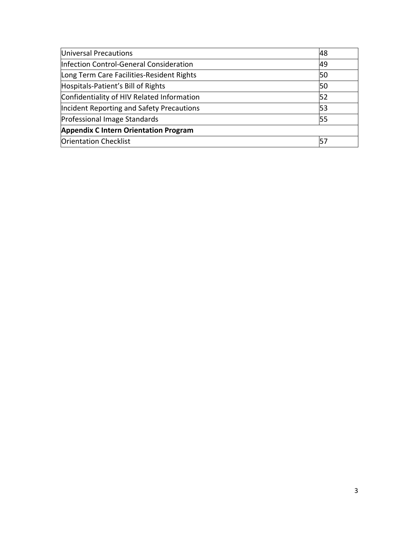| Universal Precautions                        | 48 |
|----------------------------------------------|----|
| Infection Control-General Consideration      | 49 |
| Long Term Care Facilities-Resident Rights    | 50 |
| Hospitals-Patient's Bill of Rights           | 50 |
| Confidentiality of HIV Related Information   | 52 |
| Incident Reporting and Safety Precautions    | 53 |
| Professional Image Standards                 | 55 |
| <b>Appendix C Intern Orientation Program</b> |    |
| <b>Orientation Checklist</b>                 |    |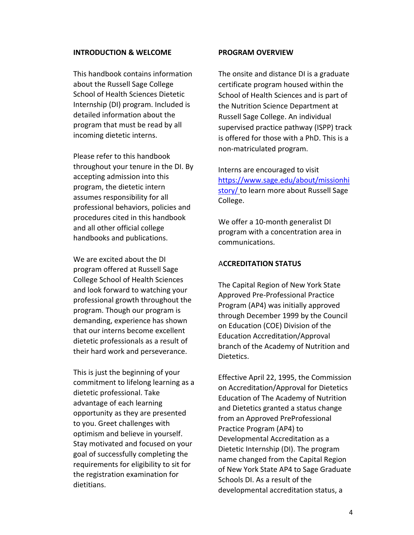#### **INTRODUCTION & WELCOME**

This handbook contains information about the Russell Sage College School of Health Sciences Dietetic Internship (DI) program. Included is detailed information about the program that must be read by all incoming dietetic interns.

Please refer to this handbook throughout your tenure in the DI. By accepting admission into this program, the dietetic intern assumes responsibility for all professional behaviors, policies and procedures cited in this handbook and all other official college handbooks and publications.

We are excited about the DI program offered at Russell Sage College School of Health Sciences and look forward to watching your professional growth throughout the program. Though our program is demanding, experience has shown that our interns become excellent dietetic professionals as a result of their hard work and perseverance.

This is just the beginning of your commitment to lifelong learning as a dietetic professional. Take advantage of each learning opportunity as they are presented to you. Greet challenges with optimism and believe in yourself. Stay motivated and focused on your goal of successfully completing the requirements for eligibility to sit for the registration examination for dietitians.

#### **PROGRAM OVERVIEW**

The onsite and distance DI is a graduate certificate program housed within the School of Health Sciences and is part of the Nutrition Science Department at Russell Sage College. An individual supervised practice pathway (ISPP) track is offered for those with a PhD. This is a non-matriculated program.

Interns are encouraged to visit [https://www.sage.edu/about/missionhi](https://www.sage.edu/about/mission-history/) [story/](https://www.sage.edu/about/mission-history/) [t](https://www.sage.edu/about/mission-history/)o learn more about Russell Sage College.

We offer a 10-month generalist DI program with a concentration area in communications.

#### A**CCREDITATION STATUS**

The Capital Region of New York State Approved Pre-Professional Practice Program (AP4) was initially approved through December 1999 by the Council on Education (COE) Division of the Education Accreditation/Approval branch of the Academy of Nutrition and Dietetics.

Effective April 22, 1995, the Commission on Accreditation/Approval for Dietetics Education of The Academy of Nutrition and Dietetics granted a status change from an Approved PreProfessional Practice Program (AP4) to Developmental Accreditation as a Dietetic Internship (DI). The program name changed from the Capital Region of New York State AP4 to Sage Graduate Schools DI. As a result of the developmental accreditation status, a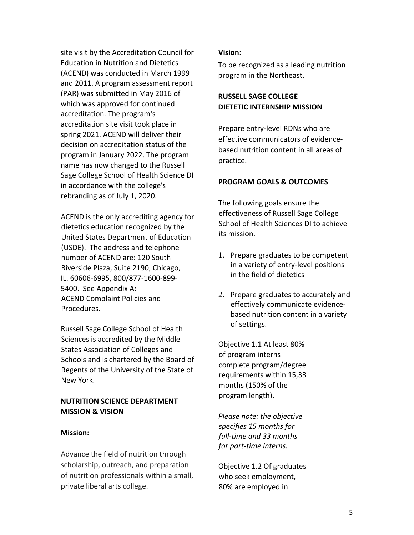site visit by the Accreditation Council for Education in Nutrition and Dietetics (ACEND) was conducted in March 1999 and 2011. A program assessment report (PAR) was submitted in May 2016 of which was approved for continued accreditation. The program's accreditation site visit took place in spring 2021. ACEND will deliver their decision on accreditation status of the program in January 2022. The program name has now changed to the Russell Sage College School of Health Science DI in accordance with the college's rebranding as of July 1, 2020.

ACEND is the only accrediting agency for dietetics education recognized by the United States Department of Education (USDE). The address and telephone number of ACEND are: 120 South Riverside Plaza, Suite 2190, Chicago, IL. 60606-6995, 800/877-1600-899- 5400. See Appendix A: ACEND Complaint Policies and Procedures.

Russell Sage College School of Health Sciences is accredited by the Middle States Association of Colleges and Schools and is chartered by the Board of Regents of the University of the State of New York.

# **NUTRITION SCIENCE DEPARTMENT MISSION & VISION**

### **Mission:**

Advance the field of nutrition through scholarship, outreach, and preparation of nutrition professionals within a small, private liberal arts college.

### **Vision:**

To be recognized as a leading nutrition program in the Northeast.

# **RUSSELL SAGE COLLEGE DIETETIC INTERNSHIP MISSION**

Prepare entry-level RDNs who are effective communicators of evidencebased nutrition content in all areas of practice.

# **PROGRAM GOALS & OUTCOMES**

The following goals ensure the effectiveness of Russell Sage College School of Health Sciences DI to achieve its mission.

- 1. Prepare graduates to be competent in a variety of entry-level positions in the field of dietetics
- 2. Prepare graduates to accurately and effectively communicate evidencebased nutrition content in a variety of settings.

Objective 1.1 At least 80% of program interns complete program/degree requirements within 15,33 months (150% of the program length).

*Please note: the objective specifies 15 months for full-time and 33 months for part-time interns.* 

Objective 1.2 Of graduates who seek employment, 80% are employed in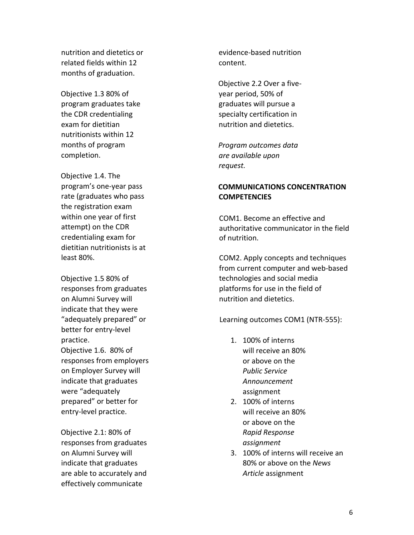nutrition and dietetics or related fields within 12 months of graduation.

Objective 1.3 80% of program graduates take the CDR credentialing exam for dietitian nutritionists within 12 months of program completion.

Objective 1.4. The program's one-year pass rate (graduates who pass the registration exam within one year of first attempt) on the CDR credentialing exam for dietitian nutritionists is at least 80%.

Objective 1.5 80% of responses from graduates on Alumni Survey will indicate that they were "adequately prepared" or better for entry-level practice. Objective 1.6. 80% of responses from employers on Employer Survey will indicate that graduates were "adequately prepared" or better for entry-level practice.

Objective 2.1: 80% of responses from graduates on Alumni Survey will indicate that graduates are able to accurately and effectively communicate

evidence-based nutrition content.

Objective 2.2 Over a fiveyear period, 50% of graduates will pursue a specialty certification in nutrition and dietetics.

*Program outcomes data are available upon request.*

# **COMMUNICATIONS CONCENTRATION COMPETENCIES**

COM1. Become an effective and authoritative communicator in the field of nutrition.

COM2. Apply concepts and techniques from current computer and web-based technologies and social media platforms for use in the field of nutrition and dietetics.

Learning outcomes COM1 (NTR-555):

- 1. 100% of interns will receive an 80% or above on the *Public Service Announcement* assignment
- 2. 100% of interns will receive an 80% or above on the *Rapid Response assignment*
- 3. 100% of interns will receive an 80% or above on the *News Article* assignment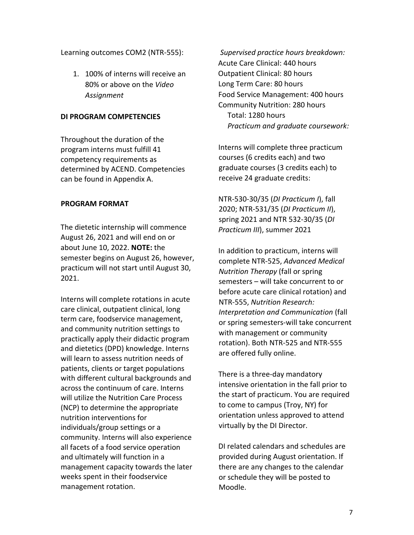Learning outcomes COM2 (NTR-555):

1. 100% of interns will receive an 80% or above on the *Video Assignment*

# **DI PROGRAM COMPETENCIES**

Throughout the duration of the program interns must fulfill 41 competency requirements as determined by ACEND. Competencies can be found in Appendix A.

### **PROGRAM FORMAT**

The dietetic internship will commence August 26, 2021 and will end on or about June 10, 2022. **NOTE:** the semester begins on August 26, however, practicum will not start until August 30, 2021.

Interns will complete rotations in acute care clinical, outpatient clinical, long term care, foodservice management, and community nutrition settings to practically apply their didactic program and dietetics (DPD) knowledge. Interns will learn to assess nutrition needs of patients, clients or target populations with different cultural backgrounds and across the continuum of care. Interns will utilize the Nutrition Care Process (NCP) to determine the appropriate nutrition interventions for individuals/group settings or a community. Interns will also experience all facets of a food service operation and ultimately will function in a management capacity towards the later weeks spent in their foodservice management rotation.

*Supervised practice hours breakdown:*  Acute Care Clinical: 440 hours Outpatient Clinical: 80 hours Long Term Care: 80 hours Food Service Management: 400 hours Community Nutrition: 280 hours Total: 1280 hours *Practicum and graduate coursework:* 

Interns will complete three practicum courses (6 credits each) and two graduate courses (3 credits each) to receive 24 graduate credits:

NTR-530-30/35 (*DI Practicum I*), fall 2020; NTR-531/35 (*DI Practicum II*), spring 2021 and NTR 532-30/35 (*DI Practicum III*), summer 2021

In addition to practicum, interns will complete NTR-525, *Advanced Medical Nutrition Therapy* (fall or spring semesters – will take concurrent to or before acute care clinical rotation) and NTR-555, *Nutrition Research: Interpretation and Communication* (fall or spring semesters-will take concurrent with management or community rotation). Both NTR-525 and NTR-555 are offered fully online.

There is a three-day mandatory intensive orientation in the fall prior to the start of practicum. You are required to come to campus (Troy, NY) for orientation unless approved to attend virtually by the DI Director.

DI related calendars and schedules are provided during August orientation. If there are any changes to the calendar or schedule they will be posted to Moodle.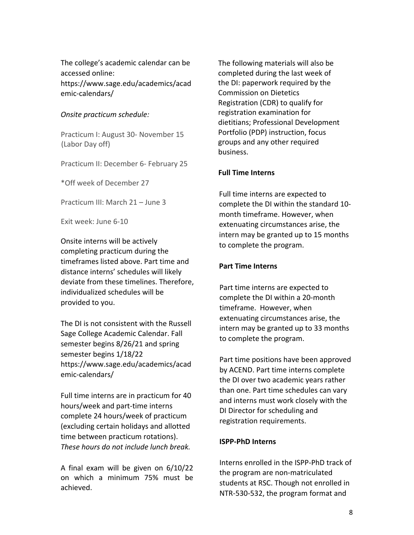The college's academic calendar can be accessed online: https://www.sage.edu/academics/acad emic-calendars/

### *Onsite practicum schedule:*

Practicum I: August 30- November 15 (Labor Day off)

Practicum II: December 6- February 25

\*Off week of December 27

Practicum III: March 21 – June 3

Exit week: June 6-10

Onsite interns will be actively completing practicum during the timeframes listed above. Part time and distance interns' schedules will likely deviate from these timelines. Therefore, individualized schedules will be provided to you.

The DI is not consistent with the Russell Sage College Academic Calendar. Fall semester begins 8/26/21 and spring semester begins 1/18/22 https://www.sage.edu/academics/acad emic-calendars/

Full time interns are in practicum for 40 hours/week and part-time interns complete 24 hours/week of practicum (excluding certain holidays and allotted time between practicum rotations). *These hours do not include lunch break.* 

A final exam will be given on 6/10/22 on which a minimum 75% must be achieved.

The following materials will also be completed during the last week of the DI: paperwork required by the Commission on Dietetics Registration (CDR) to qualify for registration examination for dietitians; Professional Development Portfolio (PDP) instruction, focus groups and any other required business.

### **Full Time Interns**

Full time interns are expected to complete the DI within the standard 10 month timeframe. However, when extenuating circumstances arise, the intern may be granted up to 15 months to complete the program.

### **Part Time Interns**

Part time interns are expected to complete the DI within a 20-month timeframe. However, when extenuating circumstances arise, the intern may be granted up to 33 months to complete the program.

Part time positions have been approved by ACEND. Part time interns complete the DI over two academic years rather than one. Part time schedules can vary and interns must work closely with the DI Director for scheduling and registration requirements.

# **ISPP-PhD Interns**

Interns enrolled in the ISPP-PhD track of the program are non-matriculated students at RSC. Though not enrolled in NTR-530-532, the program format and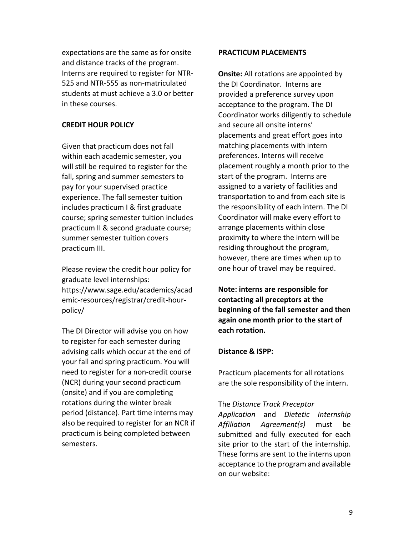expectations are the same as for onsite and distance tracks of the program. Interns are required to register for NTR-525 and NTR-555 as non-matriculated students at must achieve a 3.0 or better in these courses.

### **CREDIT HOUR POLICY**

Given that practicum does not fall within each academic semester, you will still be required to register for the fall, spring and summer semesters to pay for your supervised practice experience. The fall semester tuition includes practicum I & first graduate course; spring semester tuition includes practicum II & second graduate course; summer semester tuition covers practicum III.

Please review the credit hour policy for graduate level internships: https://www.sage.edu/academics/acad emic-resources/registrar/credit-hourpolicy/

The DI Director will advise you on how to register for each semester during advising calls which occur at the end of your fall and spring practicum. You will need to register for a non-credit course (NCR) during your second practicum (onsite) and if you are completing rotations during the winter break period (distance). Part time interns may also be required to register for an NCR if practicum is being completed between semesters.

### **PRACTICUM PLACEMENTS**

**Onsite:** All rotations are appointed by the DI Coordinator. Interns are provided a preference survey upon acceptance to the program. The DI Coordinator works diligently to schedule and secure all onsite interns' placements and great effort goes into matching placements with intern preferences. Interns will receive placement roughly a month prior to the start of the program. Interns are assigned to a variety of facilities and transportation to and from each site is the responsibility of each intern. The DI Coordinator will make every effort to arrange placements within close proximity to where the intern will be residing throughout the program, however, there are times when up to one hour of travel may be required.

**Note: interns are responsible for contacting all preceptors at the beginning of the fall semester and then again one month prior to the start of each rotation.** 

# **Distance & ISPP:**

Practicum placements for all rotations are the sole responsibility of the intern.

### The *Distance Track Preceptor*

*Application* and *Dietetic Internship Affiliation Agreement(s)* must be submitted and fully executed for each site prior to the start of the internship. These forms are sent to the interns upon acceptance to the program and available on our website: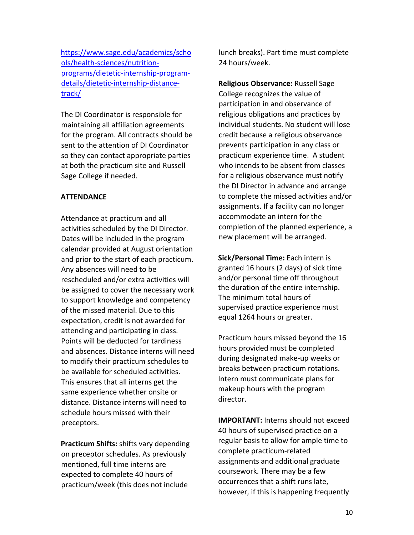[https://www.sage.edu/academics/scho](https://www.sage.edu/academics/schools/health-sciences/nutrition-programs/dietetic-internship-program-details/dietetic-internship-distance-track/) [ols/health-sciences/nutrition](https://www.sage.edu/academics/schools/health-sciences/nutrition-programs/dietetic-internship-program-details/dietetic-internship-distance-track/)[programs/dietetic-internship-program](https://www.sage.edu/academics/schools/health-sciences/nutrition-programs/dietetic-internship-program-details/dietetic-internship-distance-track/)[details/dietetic-internship-distance](https://www.sage.edu/academics/schools/health-sciences/nutrition-programs/dietetic-internship-program-details/dietetic-internship-distance-track/)[track/](https://www.sage.edu/academics/schools/health-sciences/nutrition-programs/dietetic-internship-program-details/dietetic-internship-distance-track/) 

The DI Coordinator is responsible for maintaining all affiliation agreements for the program. All contracts should be sent to the attention of DI Coordinator so they can contact appropriate parties at both the practicum site and Russell Sage College if needed.

### **ATTENDANCE**

Attendance at practicum and all activities scheduled by the DI Director. Dates will be included in the program calendar provided at August orientation and prior to the start of each practicum. Any absences will need to be rescheduled and/or extra activities will be assigned to cover the necessary work to support knowledge and competency of the missed material. Due to this expectation, credit is not awarded for attending and participating in class. Points will be deducted for tardiness and absences. Distance interns will need to modify their practicum schedules to be available for scheduled activities. This ensures that all interns get the same experience whether onsite or distance. Distance interns will need to schedule hours missed with their preceptors.

**Practicum Shifts:** shifts vary depending on preceptor schedules. As previously mentioned, full time interns are expected to complete 40 hours of practicum/week (this does not include

lunch breaks). Part time must complete 24 hours/week.

**Religious Observance:** Russell Sage College recognizes the value of participation in and observance of religious obligations and practices by individual students. No student will lose credit because a religious observance prevents participation in any class or practicum experience time. A student who intends to be absent from classes for a religious observance must notify the DI Director in advance and arrange to complete the missed activities and/or assignments. If a facility can no longer accommodate an intern for the completion of the planned experience, a new placement will be arranged.

**Sick/Personal Time:** Each intern is granted 16 hours (2 days) of sick time and/or personal time off throughout the duration of the entire internship. The minimum total hours of supervised practice experience must equal 1264 hours or greater.

Practicum hours missed beyond the 16 hours provided must be completed during designated make-up weeks or breaks between practicum rotations. Intern must communicate plans for makeup hours with the program director.

**IMPORTANT:** Interns should not exceed 40 hours of supervised practice on a regular basis to allow for ample time to complete practicum-related assignments and additional graduate coursework. There may be a few occurrences that a shift runs late, however, if this is happening frequently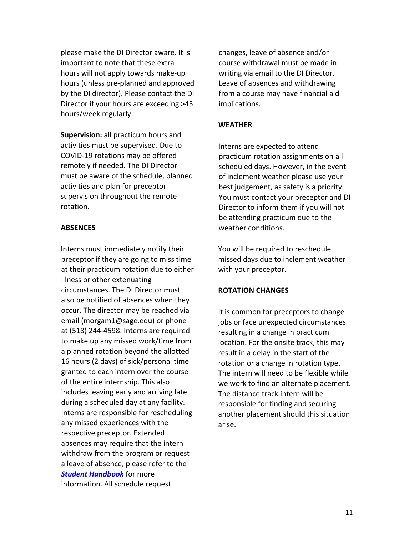please make the DI Director aware. It is important to note that these extra hours will not apply towards make-up hours (unless pre-planned and approved by the DI director). Please contact the DI Director if your hours are exceeding >45 hours/week regularly.

**Supervision:** all practicum hours and activities must be supervised. Due to COVID-19 rotations may be offered remotely if needed. The DI Director must be aware of the schedule, planned activities and plan for preceptor supervision throughout the remote rotation.

### **ABSENCES**

Interns must immediately notify their preceptor if they are going to miss time at their practicum rotation due to either illness or other extenuating circumstances. The DI Director must also be notified of absences when they occur. The director may be reached via email (morgam1@sage.edu) or phone at (518) 244-4598. Interns are required to make up any missed work/time from a planned rotation beyond the allotted 16 hours (2 days) of sick/personal time granted to each intern over the course of the entire internship. This also includes leaving early and arriving late during a scheduled day at any facility. Interns are responsible for rescheduling any missed experiences with the respective preceptor. Extended absences may require that the intern withdraw from the program or request a leave of absence, please refer to the *[Student Handbook](https://www.sage.edu/student-life/office/student-handbook/)* for more information. All schedule request

changes, leave of absence and/or course withdrawal must be made in writing via email to the DI Director. Leave of absences and withdrawing from a course may have financial aid implications.

#### **WEATHER**

Interns are expected to attend practicum rotation assignments on all scheduled days. However, in the event of inclement weather please use your best judgement, as safety is a priority. You must contact your preceptor and DI Director to inform them if you will not be attending practicum due to the weather conditions.

You will be required to reschedule missed days due to inclement weather with your preceptor.

#### **ROTATION CHANGES**

It is common for preceptors to change jobs or face unexpected circumstances resulting in a change in practicum location. For the onsite track, this may result in a delay in the start of the rotation or a change in rotation type. The intern will need to be flexible while we work to find an alternate placement. The distance track intern will be responsible for finding and securing another placement should this situation arise.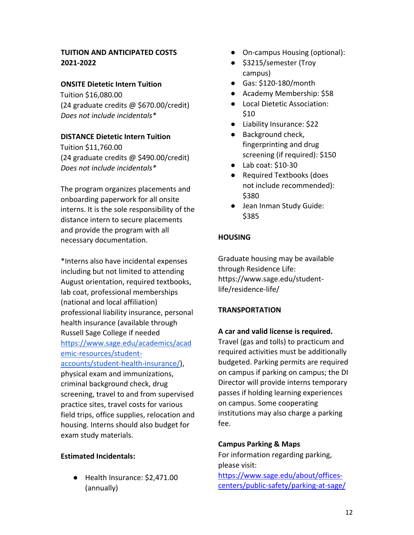# **TUITION AND ANTICIPATED COSTS 2021-2022**

# **ONSITE Dietetic Intern Tuition**

Tuition \$16,080.00 (24 graduate credits @ \$670.00/credit) *Does not include incidentals\** 

### **DISTANCE Dietetic Intern Tuition**

Tuition \$11,760.00 (24 graduate credits @ \$490.00/credit) *Does not include incidentals\** 

The program organizes placements and onboarding paperwork for all onsite interns. It is the sole responsibility of the distance intern to secure placements and provide the program with all necessary documentation.

\*Interns also have incidental expenses including but not limited to attending August orientation, required textbooks, lab coat, professional memberships (national and local affiliation) professional liability insurance, personal health insurance (available through Russell Sage College if needed [https://www.sage.edu/academics/acad](https://www.sage.edu/academics/academic-resources/student-accounts/student-health-insurance/) [emic-resources/student](https://www.sage.edu/academics/academic-resources/student-accounts/student-health-insurance/)[accounts/student-health-insurance/\)](https://www.sage.edu/academics/academic-resources/student-accounts/student-health-insurance/), physical exam and immunizations, criminal background check, drug screening, travel to and from supervised practice sites, travel costs for various field trips, office supplies, relocation and housing. Interns should also budget for exam study materials.

### **Estimated Incidentals:**

● Health Insurance: \$2,471.00 (annually)

- On-campus Housing (optional):
- \$3215/semester (Troy campus)
- Gas: \$120-180/month
- Academy Membership: \$58
- Local Dietetic Association: \$10
- Liability Insurance: \$22
- Background check, fingerprinting and drug screening (if required): \$150
- Lab coat: \$10-30
- Required Textbooks (does not include recommended): \$380
- Jean Inman Study Guide: \$385

### **HOUSING**

Graduate housing may be available through Residence Life: https://www.sage.edu/studentlife/residence-life/

# **TRANSPORTATION**

### **A car and valid license is required.**

Travel (gas and tolls) to practicum and required activities must be additionally budgeted. Parking permits are required on campus if parking on campus; the DI Director will provide interns temporary passes if holding learning experiences on campus. Some cooperating institutions may also charge a parking fee.

# **Campus Parking & Maps**

For information regarding parking, please visit: [https://www.sage.edu/about/offices](https://www.sage.edu/about/offices-centers/public-safety/parking-at-sage/)[centers/public-safety/parking-at-sage/](https://www.sage.edu/about/offices-centers/public-safety/parking-at-sage/)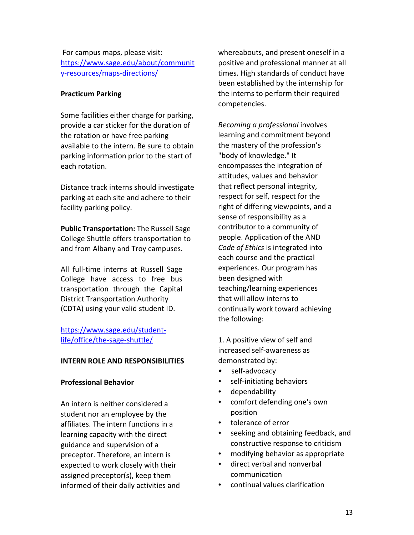For campus maps, please visit: [https://www.sage.edu/about/communit](https://www.sage.edu/about/community-resources/maps-directions/) [y-resources/maps-directions/](https://www.sage.edu/about/community-resources/maps-directions/) 

# **Practicum Parking**

Some facilities either charge for parking, provide a car sticker for the duration of the rotation or have free parking available to the intern. Be sure to obtain parking information prior to the start of each rotation.

Distance track interns should investigate parking at each site and adhere to their facility parking policy.

**Public Transportation:** The Russell Sage College Shuttle offers transportation to and from Albany and Troy campuses.

All full-time interns at Russell Sage College have access to free bus transportation through the Capital District Transportation Authority (CDTA) using your valid student ID.

[https://www.sage.edu/student](https://www.sage.edu/student-life/office/the-sage-shuttle/)[life/office/the-sage-shuttle/](https://www.sage.edu/student-life/office/the-sage-shuttle/) 

# **INTERN ROLE AND RESPONSIBILITIES**

# **Professional Behavior**

An intern is neither considered a student nor an employee by the affiliates. The intern functions in a learning capacity with the direct guidance and supervision of a preceptor. Therefore, an intern is expected to work closely with their assigned preceptor(s), keep them informed of their daily activities and whereabouts, and present oneself in a positive and professional manner at all times. High standards of conduct have been established by the internship for the interns to perform their required competencies.

*Becoming a professional* involves learning and commitment beyond the mastery of the profession's "body of knowledge." It encompasses the integration of attitudes, values and behavior that reflect personal integrity, respect for self, respect for the right of differing viewpoints, and a sense of responsibility as a contributor to a community of people. Application of the AND *Code of Ethics* is integrated into each course and the practical experiences. Our program has been designed with teaching/learning experiences that will allow interns to continually work toward achieving the following:

1. A positive view of self and increased self-awareness as demonstrated by:

- self-advocacy
- self-initiating behaviors
- dependability
- comfort defending one's own position
- tolerance of error
- seeking and obtaining feedback, and constructive response to criticism
- modifying behavior as appropriate
- direct verbal and nonverbal communication
- continual values clarification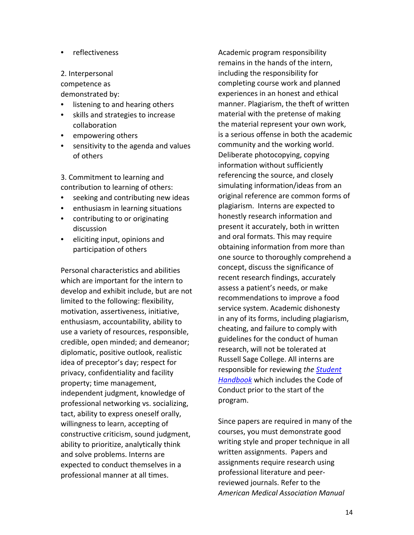- reflectiveness
- 2. Interpersonal

competence as

demonstrated by:

- listening to and hearing others
- skills and strategies to increase collaboration
- empowering others
- sensitivity to the agenda and values of others

3. Commitment to learning and contribution to learning of others:

- seeking and contributing new ideas
- enthusiasm in learning situations
- contributing to or originating discussion
- eliciting input, opinions and participation of others

Personal characteristics and abilities which are important for the intern to develop and exhibit include, but are not limited to the following: flexibility, motivation, assertiveness, initiative, enthusiasm, accountability, ability to use a variety of resources, responsible, credible, open minded; and demeanor; diplomatic, positive outlook, realistic idea of preceptor's day; respect for privacy, confidentiality and facility property; time management, independent judgment, knowledge of professional networking vs. socializing, tact, ability to express oneself orally, willingness to learn, accepting of constructive criticism, sound judgment, ability to prioritize, analytically think and solve problems. Interns are expected to conduct themselves in a professional manner at all times.

Academic program responsibility remains in the hands of the intern, including the responsibility for completing course work and planned experiences in an honest and ethical manner. Plagiarism, the theft of written material with the pretense of making the material represent your own work, is a serious offense in both the academic community and the working world. Deliberate photocopying, copying information without sufficiently referencing the source, and closely simulating information/ideas from an original reference are common forms of plagiarism. Interns are expected to honestly research information and present it accurately, both in written and oral formats. This may require obtaining information from more than one source to thoroughly comprehend a concept, discuss the significance of recent research findings, accurately assess a patient's needs, or make recommendations to improve a food service system. Academic dishonesty in any of its forms, including plagiarism, cheating, and failure to comply with guidelines for the conduct of human research, will not be tolerated at Russell Sage College. All interns are responsible for reviewing *the [Student](https://www.sage.edu/student-life/office/student-handbook/)  [Handbook](https://www.sage.edu/student-life/office/student-handbook/)* which includes the Code of Conduct prior to the start of the program.

Since papers are required in many of the courses, you must demonstrate good writing style and proper technique in all written assignments. Papers and assignments require research using professional literature and peerreviewed journals. Refer to the *American Medical Association Manual*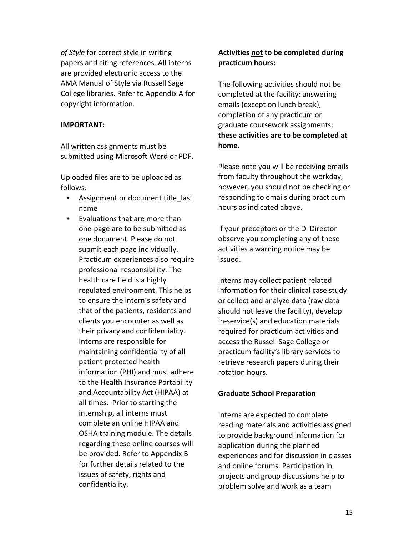*of Style* for correct style in writing papers and citing references. All interns are provided electronic access to the AMA Manual of Style via Russell Sage College libraries. Refer to Appendix A for copyright information.

### **IMPORTANT:**

All written assignments must be submitted using Microsoft Word or PDF.

Uploaded files are to be uploaded as follows:

- Assignment or document title last name
- Evaluations that are more than one-page are to be submitted as one document. Please do not submit each page individually. Practicum experiences also require professional responsibility. The health care field is a highly regulated environment. This helps to ensure the intern's safety and that of the patients, residents and clients you encounter as well as their privacy and confidentiality. Interns are responsible for maintaining confidentiality of all patient protected health information (PHI) and must adhere to the Health Insurance Portability and Accountability Act (HIPAA) at all times. Prior to starting the internship, all interns must complete an online HIPAA and OSHA training module. The details regarding these online courses will be provided. Refer to Appendix B for further details related to the issues of safety, rights and confidentiality.

# **Activities not to be completed during practicum hours:**

The following activities should not be completed at the facility: answering emails (except on lunch break), completion of any practicum or graduate coursework assignments; **these activities are to be completed at home.**

Please note you will be receiving emails from faculty throughout the workday, however, you should not be checking or responding to emails during practicum hours as indicated above.

If your preceptors or the DI Director observe you completing any of these activities a warning notice may be issued.

Interns may collect patient related information for their clinical case study or collect and analyze data (raw data should not leave the facility), develop in-service(s) and education materials required for practicum activities and access the Russell Sage College or practicum facility's library services to retrieve research papers during their rotation hours.

# **Graduate School Preparation**

Interns are expected to complete reading materials and activities assigned to provide background information for application during the planned experiences and for discussion in classes and online forums. Participation in projects and group discussions help to problem solve and work as a team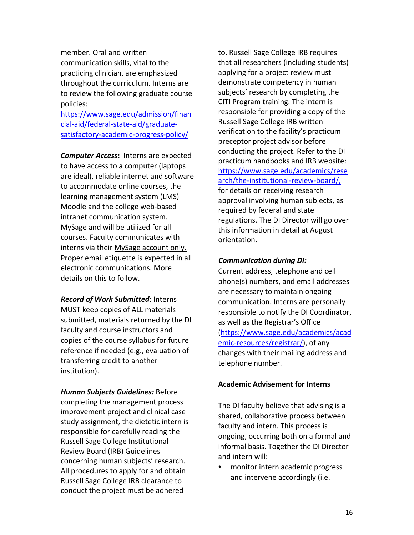member. Oral and written communication skills, vital to the practicing clinician, are emphasized throughout the curriculum. Interns are to review the following graduate course policies:

[https://www.sage.edu/admission/finan](https://www.sage.edu/admission/financial-aid/federal-state-aid/graduate-satisfactory-academic-progress-policy/) [cial-aid/federal-state-aid/graduate](https://www.sage.edu/admission/financial-aid/federal-state-aid/graduate-satisfactory-academic-progress-policy/)[satisfactory-academic-progress-policy/](https://www.sage.edu/admission/financial-aid/federal-state-aid/graduate-satisfactory-academic-progress-policy/) 

*Computer Access***:** Interns are expected to have access to a computer (laptops are ideal), reliable internet and software to accommodate online courses, the learning management system (LMS) Moodle and the college web-based intranet communication system. MySage and will be utilized for all courses. Faculty communicates with interns via their MySage account only. Proper email etiquette is expected in all electronic communications. More details on this to follow.

*Record of Work Submitted*: Interns MUST keep copies of ALL materials submitted, materials returned by the DI faculty and course instructors and copies of the course syllabus for future reference if needed (e.g., evaluation of transferring credit to another institution).

*Human Subjects Guidelines:* Before completing the management process improvement project and clinical case study assignment, the dietetic intern is responsible for carefully reading the Russell Sage College Institutional Review Board (IRB) Guidelines concerning human subjects' research. All procedures to apply for and obtain Russell Sage College IRB clearance to conduct the project must be adhered

to. Russell Sage College IRB requires that all researchers (including students) applying for a project review must demonstrate competency in human subjects' research by completing the CITI Program training. The intern is responsible for providing a copy of the Russell Sage College IRB written verification to the facility's practicum preceptor project advisor before conducting the project. Refer to the DI practicum handbooks and IRB website: [https://www.sage.edu/academics/rese](https://www.sage.edu/academics/research/the-institutional-review-board/,) [arch/the-institutional-review-board/,](https://www.sage.edu/academics/research/the-institutional-review-board/,)  for details on receiving research approval involving human subjects, as required by federal and state regulations. The DI Director will go over this information in detail at August orientation.

### *Communication during DI:*

Current address, telephone and cell phone(s) numbers, and email addresses are necessary to maintain ongoing communication. Interns are personally responsible to notify the DI Coordinator, as well as the Registrar's Office [\(https://www.sage.edu/academics/acad](https://www.sage.edu/academics/academic-resources/registrar/) [emic-resources/registrar/\)](https://www.sage.edu/academics/academic-resources/registrar/), of any changes with their mailing address and telephone number.

#### **Academic Advisement for Interns**

The DI faculty believe that advising is a shared, collaborative process between faculty and intern. This process is ongoing, occurring both on a formal and informal basis. Together the DI Director and intern will:

• monitor intern academic progress and intervene accordingly (i.e.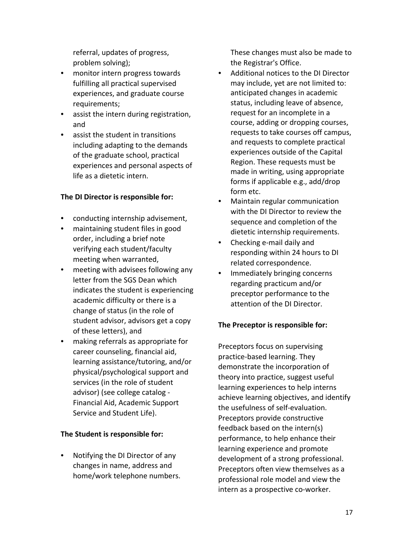referral, updates of progress, problem solving);

- monitor intern progress towards fulfilling all practical supervised experiences, and graduate course requirements;
- assist the intern during registration, and
- assist the student in transitions including adapting to the demands of the graduate school, practical experiences and personal aspects of life as a dietetic intern.

# **The DI Director is responsible for:**

- conducting internship advisement,
- maintaining student files in good order, including a brief note verifying each student/faculty meeting when warranted,
- meeting with advisees following any letter from the SGS Dean which indicates the student is experiencing academic difficulty or there is a change of status (in the role of student advisor, advisors get a copy of these letters), and
- making referrals as appropriate for career counseling, financial aid, learning assistance/tutoring, and/or physical/psychological support and services (in the role of student advisor) (see college catalog - Financial Aid, Academic Support Service and Student Life).

# **The Student is responsible for:**

• Notifying the DI Director of any changes in name, address and home/work telephone numbers. These changes must also be made to the Registrar's Office.

- Additional notices to the DI Director may include, yet are not limited to: anticipated changes in academic status, including leave of absence, request for an incomplete in a course, adding or dropping courses, requests to take courses off campus, and requests to complete practical experiences outside of the Capital Region. These requests must be made in writing, using appropriate forms if applicable e.g., add/drop form etc.
- Maintain regular communication with the DI Director to review the sequence and completion of the dietetic internship requirements.
- Checking e-mail daily and responding within 24 hours to DI related correspondence.
- Immediately bringing concerns regarding practicum and/or preceptor performance to the attention of the DI Director.

# **The Preceptor is responsible for:**

Preceptors focus on supervising practice-based learning. They demonstrate the incorporation of theory into practice, suggest useful learning experiences to help interns achieve learning objectives, and identify the usefulness of self-evaluation. Preceptors provide constructive feedback based on the intern(s) performance, to help enhance their learning experience and promote development of a strong professional. Preceptors often view themselves as a professional role model and view the intern as a prospective co-worker.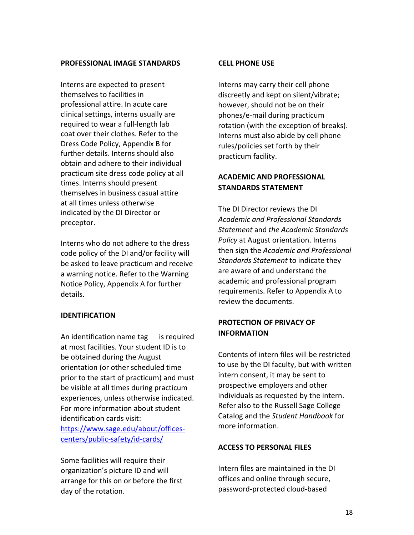#### **PROFESSIONAL IMAGE STANDARDS**

Interns are expected to present themselves to facilities in professional attire. In acute care clinical settings, interns usually are required to wear a full-length lab coat over their clothes. Refer to the Dress Code Policy, Appendix B for further details. Interns should also obtain and adhere to their individual practicum site dress code policy at all times. Interns should present themselves in business casual attire at all times unless otherwise indicated by the DI Director or preceptor.

Interns who do not adhere to the dress code policy of the DI and/or facility will be asked to leave practicum and receive a warning notice. Refer to the Warning Notice Policy, Appendix A for further details.

### **IDENTIFICATION**

An identification name tag is required at most facilities. Your student ID is to be obtained during the August orientation (or other scheduled time prior to the start of practicum) and must be visible at all times during practicum experiences, unless otherwise indicated. For more information about student identification cards visit: [https://www.sage.edu/about/offices](https://www.sage.edu/about/offices-centers/public-safety/id-cards/)[centers/public-safety/id-cards/](https://www.sage.edu/about/offices-centers/public-safety/id-cards/) 

Some facilities will require their organization's picture ID and will arrange for this on or before the first day of the rotation.

#### **CELL PHONE USE**

Interns may carry their cell phone discreetly and kept on silent/vibrate; however, should not be on their phones/e-mail during practicum rotation (with the exception of breaks). Interns must also abide by cell phone rules/policies set forth by their practicum facility.

# **ACADEMIC AND PROFESSIONAL STANDARDS STATEMENT**

The DI Director reviews the DI *Academic and Professional Standards Statement* and *the Academic Standards Policy* at August orientation. Interns then sign the *Academic and Professional Standards Statement* to indicate they are aware of and understand the academic and professional program requirements. Refer to Appendix A to review the documents.

# **PROTECTION OF PRIVACY OF INFORMATION**

Contents of intern files will be restricted to use by the DI faculty, but with written intern consent, it may be sent to prospective employers and other individuals as requested by the intern. Refer also to the Russell Sage College Catalog and the *Student Handbook* for more information.

### **ACCESS TO PERSONAL FILES**

Intern files are maintained in the DI offices and online through secure, password-protected cloud-based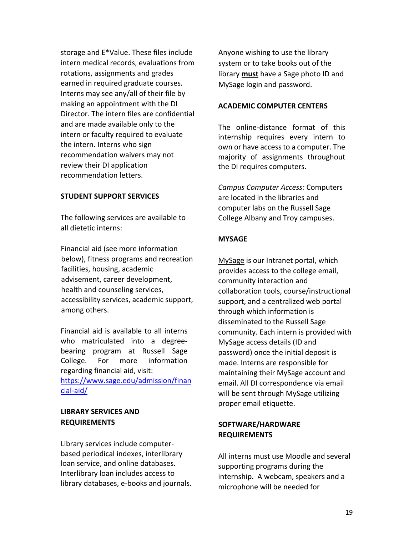storage and E\*Value. These files include intern medical records, evaluations from rotations, assignments and grades earned in required graduate courses. Interns may see any/all of their file by making an appointment with the DI Director. The intern files are confidential and are made available only to the intern or faculty required to evaluate the intern. Interns who sign recommendation waivers may not review their DI application recommendation letters.

### **STUDENT SUPPORT SERVICES**

The following services are available to all dietetic interns:

Financial aid (see more information below), fitness programs and recreation facilities, housing, academic advisement, career development, health and counseling services, accessibility services, academic support, among others.

Financial aid is available to all interns who matriculated into a degreebearing program at Russell Sage College. For more information regarding financial aid, visit: [https://www.sage.edu/admission/finan](https://www.sage.edu/admission/financial-aid/) [cial-aid/](https://www.sage.edu/admission/financial-aid/) 

### **LIBRARY SERVICES AND REQUIREMENTS**

Library services include computerbased periodical indexes, interlibrary loan service, and online databases. Interlibrary loan includes access to library databases, e-books and journals. Anyone wishing to use the library system or to take books out of the library **must** have a Sage photo ID and MySage login and password.

#### **ACADEMIC COMPUTER CENTERS**

The online-distance format of this internship requires every intern to own or have access to a computer. The majority of assignments throughout the DI requires computers.

*Campus Computer Access:* Computers are located in the libraries and computer labs on the Russell Sage College Albany and Troy campuses.

### **MYSAGE**

[MySage](http://mysage.sage.edu/) is our Intranet portal, which provides access to the college email, community interaction and collaboration tools, course/instructional support, and a centralized web portal through which information is disseminated to the Russell Sage community. Each intern is provided with MySage access details (ID and password) once the initial deposit is made. Interns are responsible for maintaining their MySage account and email. All DI correspondence via email will be sent through MySage utilizing proper email etiquette.

# **SOFTWARE/HARDWARE REQUIREMENTS**

All interns must use Moodle and several supporting programs during the internship. A webcam, speakers and a microphone will be needed for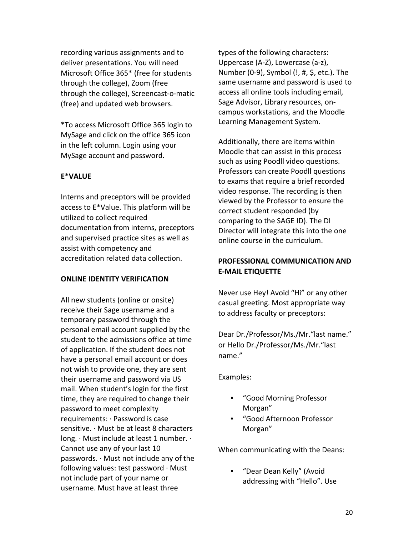recording various assignments and to deliver presentations. You will need Microsoft Office 365\* (free for students through the college), Zoom (free through the college), Screencast-o-matic (free) and updated web browsers.

\*To access Microsoft Office 365 login to MySage and click on the office 365 icon in the left column. Login using your MySage account and password.

# **E\*VALUE**

Interns and preceptors will be provided access to E\*Value. This platform will be utilized to collect required documentation from interns, preceptors and supervised practice sites as well as assist with competency and accreditation related data collection.

### **ONLINE IDENTITY VERIFICATION**

All new students (online or onsite) receive their Sage username and a temporary password through the personal email account supplied by the student to the admissions office at time of application. If the student does not have a personal email account or does not wish to provide one, they are sent their username and password via US mail. When student's login for the first time, they are required to change their password to meet complexity requirements: ∙ Password is case sensitive. ∙ Must be at least 8 characters long. ∙ Must include at least 1 number. ∙ Cannot use any of your last 10 passwords. ∙ Must not include any of the following values: test password ∙ Must not include part of your name or username. Must have at least three

types of the following characters: Uppercase (A-Z), Lowercase (a-z), Number (0-9), Symbol (!, #, \$, etc.). The same username and password is used to access all online tools including email, Sage Advisor, Library resources, oncampus workstations, and the Moodle Learning Management System.

Additionally, there are items within Moodle that can assist in this process such as using Poodll video questions. Professors can create Poodll questions to exams that require a brief recorded video response. The recording is then viewed by the Professor to ensure the correct student responded (by comparing to the SAGE ID). The DI Director will integrate this into the one online course in the curriculum.

# **PROFESSIONAL COMMUNICATION AND E-MAIL ETIQUETTE**

Never use Hey! Avoid "Hi" or any other casual greeting. Most appropriate way to address faculty or preceptors:

Dear Dr./Professor/Ms./Mr."last name." or Hello Dr./Professor/Ms./Mr."last name."

Examples:

- "Good Morning Professor Morgan"
- "Good Afternoon Professor Morgan"

When communicating with the Deans:

• "Dear Dean Kelly" (Avoid addressing with "Hello". Use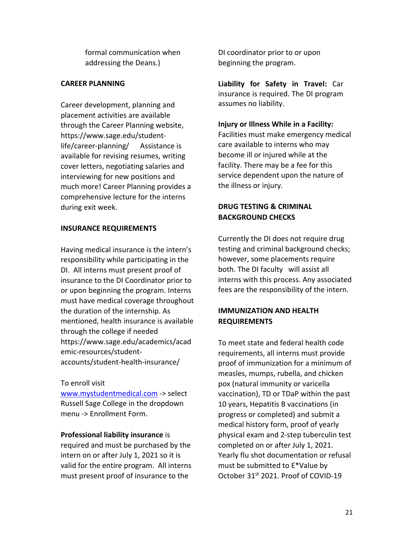formal communication when addressing the Deans.)

# **CAREER PLANNING**

Career development, planning and placement activities are available through the Career Planning website, https://www.sage.edu/studentlife/career-planning/ [A](https://www.sage.edu/student-life/career-planning)ssistance is available for revising resumes, writing cover letters, negotiating salaries and interviewing for new positions and much more! Career Planning provides a comprehensive lecture for the interns during exit week.

### **INSURANCE REQUIREMENTS**

Having medical insurance is the intern's responsibility while participating in the DI. All interns must present proof of insurance to the DI Coordinator prior to or upon beginning the program. Interns must have medical coverage throughout the duration of the internship. As mentioned, health insurance is available through the college if needed https://www.sage.edu/academics/acad emic-resources/studentaccounts/student-health-insurance/

### To enroll visit

[www.mystudentmedical.com](http://www.mystudentmedical.com/) -> select Russell Sage College in the dropdown menu -> Enrollment Form.

# **Professional liability insurance** is

required and must be purchased by the intern on or after July 1, 2021 so it is valid for the entire program. All interns must present proof of insurance to the

DI coordinator prior to or upon beginning the program.

**Liability for Safety in Travel:** Car insurance is required. The DI program assumes no liability.

# **Injury or Illness While in a Facility:**

Facilities must make emergency medical care available to interns who may become ill or injured while at the facility. There may be a fee for this service dependent upon the nature of the illness or injury.

# **DRUG TESTING & CRIMINAL BACKGROUND CHECKS**

Currently the DI does not require drug testing and criminal background checks; however, some placements require both. The DI faculty will assist all interns with this process. Any associated fees are the responsibility of the intern.

# **IMMUNIZATION AND HEALTH REQUIREMENTS**

To meet state and federal health code requirements, all interns must provide proof of immunization for a minimum of measles, mumps, rubella, and chicken pox (natural immunity or varicella vaccination), TD or TDaP within the past 10 years, Hepatitis B vaccinations (in progress or completed) and submit a medical history form, proof of yearly physical exam and 2-step tuberculin test completed on or after July 1, 2021. Yearly flu shot documentation or refusal must be submitted to E\*Value by October 31st 2021. Proof of COVID-19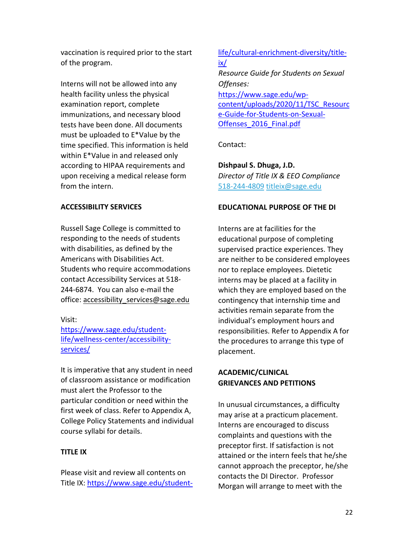vaccination is required prior to the start of the program.

Interns will not be allowed into any health facility unless the physical examination report, complete immunizations, and necessary blood tests have been done. All documents must be uploaded to E\*Value by the time specified. This information is held within E\*Value in and released only according to HIPAA requirements and upon receiving a medical release form from the intern.

# **ACCESSIBILITY SERVICES**

Russell Sage College is committed to responding to the needs of students with disabilities, as defined by the Americans with Disabilities Act. Students who require accommodations contact Accessibility Services at 518- 244-6874. You can also e-mail the office: accessibility\_services@sage.edu

### Visit:

[https://www.sage.edu/student](https://www.sage.edu/student-life/wellness-center/accessibility-services/)[life/wellness-center/accessibility](https://www.sage.edu/student-life/wellness-center/accessibility-services/)[services/](https://www.sage.edu/student-life/wellness-center/accessibility-services/) 

It is imperative that any student in need of classroom assistance or modification must alert the Professor to the particular condition or need within the first week of class. Refer to Appendix A, College Policy Statements and individual course syllabi for details.

### **TITLE IX**

Please visit and review all contents on Title IX: [https://www.sage.edu/student-](https://www.sage.edu/student-life/cultural-enrichment-diversity/title-ix/)

# [life/cultural-enrichment-diversity/title](https://www.sage.edu/student-life/cultural-enrichment-diversity/title-ix/)[ix/](https://www.sage.edu/student-life/cultural-enrichment-diversity/title-ix/)  *Resource Guide for Students on Sexual Offenses[:](https://www.sage.edu/wp-content/uploads/2017/08/TSC_Resource-Guide-for-Students-on-Sexual-Offenses-August-2017.pdf)* [https://www.sage.edu/wp](https://www.sage.edu/wp-content/uploads/2020/08/Sexual-Offense-Policies-Procedures-2020-2021.pdf)[content/uploads/2020/11/TSC\\_Resourc](https://www.sage.edu/wp-content/uploads/2020/08/Sexual-Offense-Policies-Procedures-2020-2021.pdf) [e-Guide-for-Students-on-Sexual-](https://www.sage.edu/wp-content/uploads/2020/08/Sexual-Offense-Policies-Procedures-2020-2021.pdf)[Offenses\\_2016\\_Final.pdf](https://www.sage.edu/wp-content/uploads/2020/08/Sexual-Offense-Policies-Procedures-2020-2021.pdf)

Contact:

**Dishpaul S. Dhuga, J.D.** *Director of Title IX & EEO Compliance*  518-244-4809 titleix@sage.edu

### **EDUCATIONAL PURPOSE OF THE DI**

Interns are at facilities for the educational purpose of completing supervised practice experiences. They are neither to be considered employees nor to replace employees. Dietetic interns may be placed at a facility in which they are employed based on the contingency that internship time and activities remain separate from the individual's employment hours and responsibilities. Refer to Appendix A for the procedures to arrange this type of placement.

# **ACADEMIC/CLINICAL GRIEVANCES AND PETITIONS**

In unusual circumstances, a difficulty may arise at a practicum placement. Interns are encouraged to discuss complaints and questions with the preceptor first. If satisfaction is not attained or the intern feels that he/she cannot approach the preceptor, he/she contacts the DI Director. Professor Morgan will arrange to meet with the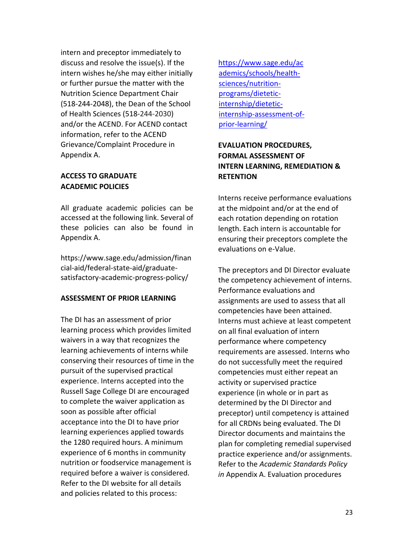intern and preceptor immediately to discuss and resolve the issue(s). If the intern wishes he/she may either initially or further pursue the matter with the Nutrition Science Department Chair (518-244-2048), the Dean of the School of Health Sciences (518-244-2030) and/or the ACEND. For ACEND contact information, refer to the ACEND Grievance/Complaint Procedure in Appendix A.

# **ACCESS TO GRADUATE ACADEMIC POLICIES**

All graduate academic policies can be accessed at the following link. Several of these policies can also be found in Appendix A.

https://www.sage.edu/admission/finan cial-aid/federal-state-aid/graduatesatisfactory-academic-progress-policy/

### **ASSESSMENT OF PRIOR LEARNING**

The DI has an assessment of prior learning process which provides limited waivers in a way that recognizes the learning achievements of interns while conserving their resources of time in the pursuit of the supervised practical experience. Interns accepted into the Russell Sage College DI are encouraged to complete the waiver application as soon as possible after official acceptance into the DI to have prior learning experiences applied towards the 1280 required hours. A minimum experience of 6 months in community nutrition or foodservice management is required before a waiver is considered. Refer to the DI website for all details and policies related to this process:

[https://www.sage.edu/ac](https://www.sage.edu/academics/schools/health-sciences/nutrition-programs/dietetic-internship/dietetic-internship-assessment-of-prior-learning/) [ademics/schools/health](https://www.sage.edu/academics/schools/health-sciences/nutrition-programs/dietetic-internship/dietetic-internship-assessment-of-prior-learning/)[sciences/nutrition](https://www.sage.edu/academics/schools/health-sciences/nutrition-programs/dietetic-internship/dietetic-internship-assessment-of-prior-learning/)[programs/dietetic](https://www.sage.edu/academics/schools/health-sciences/nutrition-programs/dietetic-internship/dietetic-internship-assessment-of-prior-learning/)[internship/dietetic](https://www.sage.edu/academics/schools/health-sciences/nutrition-programs/dietetic-internship/dietetic-internship-assessment-of-prior-learning/)[internship-assessment-of](https://www.sage.edu/academics/schools/health-sciences/nutrition-programs/dietetic-internship/dietetic-internship-assessment-of-prior-learning/)[prior-learning/](https://www.sage.edu/academics/schools/health-sciences/nutrition-programs/dietetic-internship/dietetic-internship-assessment-of-prior-learning/)

# **EVALUATION PROCEDURES, FORMAL ASSESSMENT OF INTERN LEARNING, REMEDIATION & RETENTION**

Interns receive performance evaluations at the midpoint and/or at the end of each rotation depending on rotation length. Each intern is accountable for ensuring their preceptors complete the evaluations on e-Value.

The preceptors and DI Director evaluate the competency achievement of interns. Performance evaluations and assignments are used to assess that all competencies have been attained. Interns must achieve at least competent on all final evaluation of intern performance where competency requirements are assessed. Interns who do not successfully meet the required competencies must either repeat an activity or supervised practice experience (in whole or in part as determined by the DI Director and preceptor) until competency is attained for all CRDNs being evaluated. The DI Director documents and maintains the plan for completing remedial supervised practice experience and/or assignments. Refer to the *Academic Standards Policy in* Appendix A. Evaluation procedures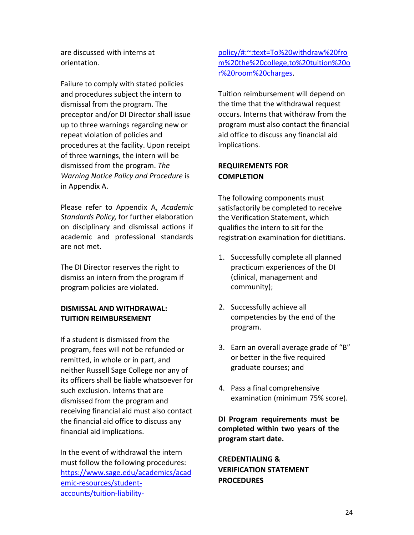are discussed with interns at orientation.

Failure to comply with stated policies and procedures subject the intern to dismissal from the program. The preceptor and/or DI Director shall issue up to three warnings regarding new or repeat violation of policies and procedures at the facility. Upon receipt of three warnings, the intern will be dismissed from the program. *The Warning Notice Policy and Procedure* is in Appendix A.

Please refer to Appendix A, *Academic Standards Policy,* for further elaboration on disciplinary and dismissal actions if academic and professional standards are not met.

The DI Director reserves the right to dismiss an intern from the program if program policies are violated.

# **DISMISSAL AND WITHDRAWAL: TUITION REIMBURSEMENT**

If a student is dismissed from the program, fees will not be refunded or remitted, in whole or in part, and neither Russell Sage College nor any of its officers shall be liable whatsoever for such exclusion. Interns that are dismissed from the program and receiving financial aid must also contact the financial aid office to discuss any financial aid implications.

In the event of withdrawal the intern must follow the following procedures: [https://www.sage.edu/academics/acad](https://www.sage.edu/academics/academic-resources/student-accounts/tuition-liability-policy/#:%7E:text=To%20withdraw%20from%20the%20college,to%20tuition%20or%20room%20charges) [emic-resources/student](https://www.sage.edu/academics/academic-resources/student-accounts/tuition-liability-policy/#:%7E:text=To%20withdraw%20from%20the%20college,to%20tuition%20or%20room%20charges)[accounts/tuition-liability-](https://www.sage.edu/academics/academic-resources/student-accounts/tuition-liability-policy/#:%7E:text=To%20withdraw%20from%20the%20college,to%20tuition%20or%20room%20charges) [policy/#:~:text=To%20withdraw%20fro](https://www.sage.edu/academics/academic-resources/student-accounts/tuition-liability-policy/#:%7E:text=To%20withdraw%20from%20the%20college,to%20tuition%20or%20room%20charges) [m%20the%20college,to%20tuition%20o](https://www.sage.edu/academics/academic-resources/student-accounts/tuition-liability-policy/#:%7E:text=To%20withdraw%20from%20the%20college,to%20tuition%20or%20room%20charges) [r%20room%20charges.](https://www.sage.edu/academics/academic-resources/student-accounts/tuition-liability-policy/#:%7E:text=To%20withdraw%20from%20the%20college,to%20tuition%20or%20room%20charges)

Tuition reimbursement will depend on the time that the withdrawal request occurs. Interns that withdraw from the program must also contact the financial aid office to discuss any financial aid implications.

# **REQUIREMENTS FOR COMPLETION**

The following components must satisfactorily be completed to receive the Verification Statement, which qualifies the intern to sit for the registration examination for dietitians.

- 1. Successfully complete all planned practicum experiences of the DI (clinical, management and community);
- 2. Successfully achieve all competencies by the end of the program.
- 3. Earn an overall average grade of "B" or better in the five required graduate courses; and
- 4. Pass a final comprehensive examination (minimum 75% score).

**DI Program requirements must be completed within two years of the program start date.** 

**CREDENTIALING & VERIFICATION STATEMENT PROCEDURES**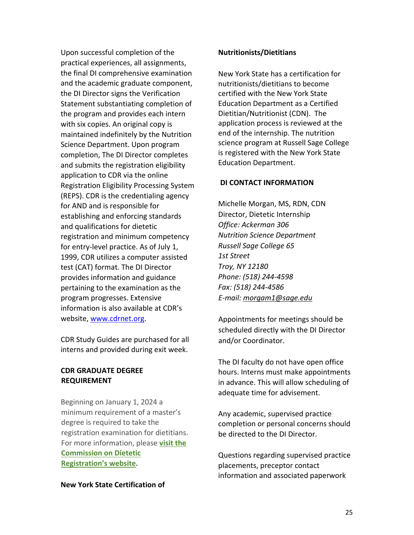Upon successful completion of the practical experiences, all assignments, the final DI comprehensive examination and the academic graduate component, the DI Director signs the Verification Statement substantiating completion of the program and provides each intern with six copies. An original copy is maintained indefinitely by the Nutrition Science Department. Upon program completion, The DI Director completes and submits the registration eligibility application to CDR via the online Registration Eligibility Processing System (REPS). CDR is the credentialing agency for AND and is responsible for establishing and enforcing standards and qualifications for dietetic registration and minimum competency for entry-level practice. As of July 1, 1999, CDR utilizes a computer assisted test (CAT) format. The DI Director provides information and guidance pertaining to the examination as the program progresses. Extensive information is also available at CDR's website, www.cdrnet.org.

CDR Study Guides are purchased for all interns and provided during exit week.

# **CDR GRADUATE DEGREE REQUIREMENT**

Beginning on January 1, 2024 a minimum requirement of a master's degree is required to take the registration examination for dietitians. For more information, please **[visit the](https://www.cdrnet.org/graduatedegree)  [Commission on Dietetic](https://www.cdrnet.org/graduatedegree)  [Registration's](https://www.cdrnet.org/graduatedegree) website.** 

### **New York State Certification of**

#### **Nutritionists/Dietitians**

New York State has a certification for nutritionists/dietitians to become certified with the New York State Education Department as a Certified Dietitian/Nutritionist (CDN). The application process is reviewed at the end of the internship. The nutrition science program at Russell Sage College is registered with the New York State Education Department.

#### **DI CONTACT INFORMATION**

Michelle Morgan, MS, RDN, CDN Director, Dietetic Internship *Office: Ackerman 306 Nutrition Science Department Russell Sage College 65 1st Street Troy, NY 12180 Phone: (518) 244-4598 Fax: (518) 244-4586 E-mail: morgam1@sage.edu* 

Appointments for meetings should be scheduled directly with the DI Director and/or Coordinator.

The DI faculty do not have open office hours. Interns must make appointments in advance. This will allow scheduling of adequate time for advisement.

Any academic, supervised practice completion or personal concerns should be directed to the DI Director.

Questions regarding supervised practice placements, preceptor contact information and associated paperwork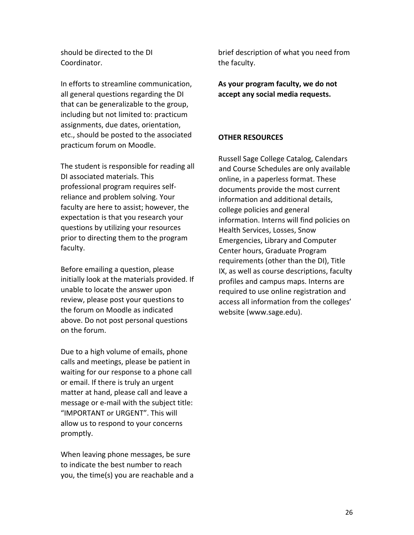should be directed to the DI Coordinator.

In efforts to streamline communication, all general questions regarding the DI that can be generalizable to the group, including but not limited to: practicum assignments, due dates, orientation, etc., should be posted to the associated practicum forum on Moodle.

The student is responsible for reading all DI associated materials. This professional program requires selfreliance and problem solving. Your faculty are here to assist; however, the expectation is that you research your questions by utilizing your resources prior to directing them to the program faculty.

Before emailing a question, please initially look at the materials provided. If unable to locate the answer upon review, please post your questions to the forum on Moodle as indicated above. Do not post personal questions on the forum.

Due to a high volume of emails, phone calls and meetings, please be patient in waiting for our response to a phone call or email. If there is truly an urgent matter at hand, please call and leave a message or e-mail with the subject title: "IMPORTANT or URGENT". This will allow us to respond to your concerns promptly.

When leaving phone messages, be sure to indicate the best number to reach you, the time(s) you are reachable and a brief description of what you need from the faculty.

**As your program faculty, we do not accept any social media requests.** 

# **OTHER RESOURCES**

Russell Sage College Catalog, Calendars and Course Schedules are only available online, in a paperless format. These documents provide the most current information and additional details, college policies and general information. Interns will find policies on Health Services, Losses, Snow Emergencies, Library and Computer Center hours, Graduate Program requirements (other than the DI), Title IX, as well as course descriptions, faculty profiles and campus maps. Interns are required to use online registration and access all information from the colleges' website (www.sage.edu).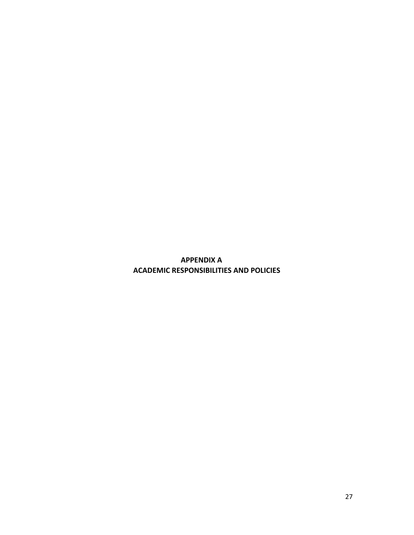**APPENDIX A ACADEMIC RESPONSIBILITIES AND POLICIES**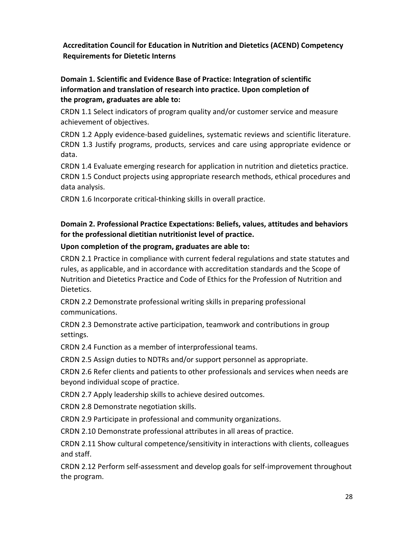# **Accreditation Council for Education in Nutrition and Dietetics (ACEND) Competency Requirements for Dietetic Interns**

**Domain 1. Scientific and Evidence Base of Practice: Integration of scientific information and translation of research into practice. Upon completion of the program, graduates are able to:** 

CRDN 1.1 Select indicators of program quality and/or customer service and measure achievement of objectives.

CRDN 1.2 Apply evidence-based guidelines, systematic reviews and scientific literature. CRDN 1.3 Justify programs, products, services and care using appropriate evidence or data.

CRDN 1.4 Evaluate emerging research for application in nutrition and dietetics practice. CRDN 1.5 Conduct projects using appropriate research methods, ethical procedures and data analysis.

CRDN 1.6 Incorporate critical-thinking skills in overall practice.

# **Domain 2. Professional Practice Expectations: Beliefs, values, attitudes and behaviors for the professional dietitian nutritionist level of practice.**

### **Upon completion of the program, graduates are able to:**

CRDN 2.1 Practice in compliance with current federal regulations and state statutes and rules, as applicable, and in accordance with accreditation standards and the Scope of Nutrition and Dietetics Practice and Code of Ethics for the Profession of Nutrition and Dietetics.

CRDN 2.2 Demonstrate professional writing skills in preparing professional communications.

CRDN 2.3 Demonstrate active participation, teamwork and contributions in group settings.

CRDN 2.4 Function as a member of interprofessional teams.

CRDN 2.5 Assign duties to NDTRs and/or support personnel as appropriate.

CRDN 2.6 Refer clients and patients to other professionals and services when needs are beyond individual scope of practice.

CRDN 2.7 Apply leadership skills to achieve desired outcomes.

CRDN 2.8 Demonstrate negotiation skills.

CRDN 2.9 Participate in professional and community organizations.

CRDN 2.10 Demonstrate professional attributes in all areas of practice.

CRDN 2.11 Show cultural competence/sensitivity in interactions with clients, colleagues and staff.

CRDN 2.12 Perform self-assessment and develop goals for self-improvement throughout the program.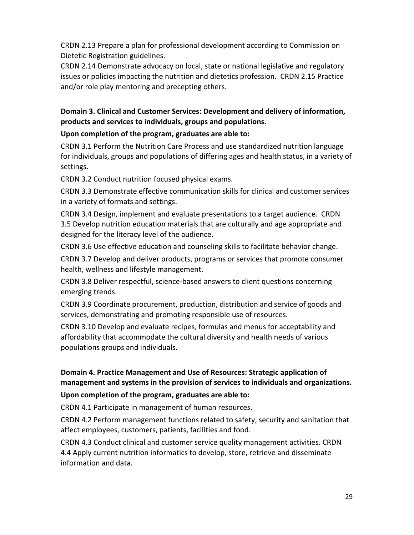CRDN 2.13 Prepare a plan for professional development according to Commission on Dietetic Registration guidelines.

CRDN 2.14 Demonstrate advocacy on local, state or national legislative and regulatory issues or policies impacting the nutrition and dietetics profession. CRDN 2.15 Practice and/or role play mentoring and precepting others.

# **Domain 3. Clinical and Customer Services: Development and delivery of information, products and services to individuals, groups and populations.**

# **Upon completion of the program, graduates are able to:**

CRDN 3.1 Perform the Nutrition Care Process and use standardized nutrition language for individuals, groups and populations of differing ages and health status, in a variety of settings.

CRDN 3.2 Conduct nutrition focused physical exams.

CRDN 3.3 Demonstrate effective communication skills for clinical and customer services in a variety of formats and settings.

CRDN 3.4 Design, implement and evaluate presentations to a target audience. CRDN 3.5 Develop nutrition education materials that are culturally and age appropriate and designed for the literacy level of the audience.

CRDN 3.6 Use effective education and counseling skills to facilitate behavior change.

CRDN 3.7 Develop and deliver products, programs or services that promote consumer health, wellness and lifestyle management.

CRDN 3.8 Deliver respectful, science-based answers to client questions concerning emerging trends.

CRDN 3.9 Coordinate procurement, production, distribution and service of goods and services, demonstrating and promoting responsible use of resources.

CRDN 3.10 Develop and evaluate recipes, formulas and menus for acceptability and affordability that accommodate the cultural diversity and health needs of various populations groups and individuals.

# **Domain 4. Practice Management and Use of Resources: Strategic application of management and systems in the provision of services to individuals and organizations.**

# **Upon completion of the program, graduates are able to:**

CRDN 4.1 Participate in management of human resources.

CRDN 4.2 Perform management functions related to safety, security and sanitation that affect employees, customers, patients, facilities and food.

CRDN 4.3 Conduct clinical and customer service quality management activities. CRDN 4.4 Apply current nutrition informatics to develop, store, retrieve and disseminate information and data.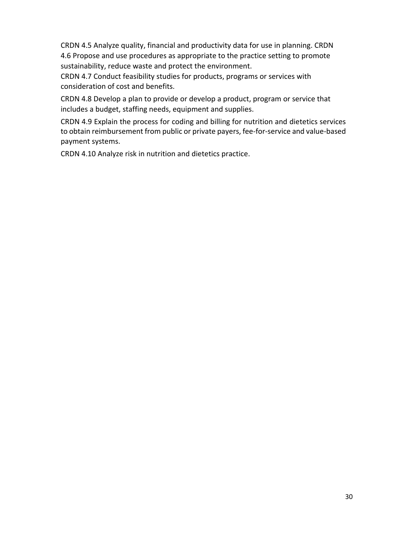CRDN 4.5 Analyze quality, financial and productivity data for use in planning. CRDN 4.6 Propose and use procedures as appropriate to the practice setting to promote sustainability, reduce waste and protect the environment.

CRDN 4.7 Conduct feasibility studies for products, programs or services with consideration of cost and benefits.

CRDN 4.8 Develop a plan to provide or develop a product, program or service that includes a budget, staffing needs, equipment and supplies.

CRDN 4.9 Explain the process for coding and billing for nutrition and dietetics services to obtain reimbursement from public or private payers, fee-for-service and value-based payment systems.

CRDN 4.10 Analyze risk in nutrition and dietetics practice.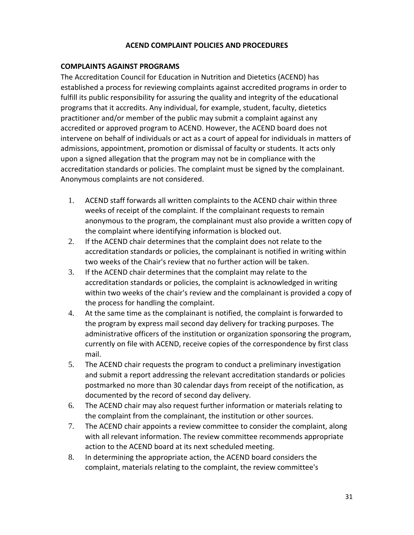#### **ACEND COMPLAINT POLICIES AND PROCEDURES**

#### **COMPLAINTS AGAINST PROGRAMS**

The Accreditation Council for Education in Nutrition and Dietetics (ACEND) has established a process for reviewing complaints against accredited programs in order to fulfill its public responsibility for assuring the quality and integrity of the educational programs that it accredits. Any individual, for example, student, faculty, dietetics practitioner and/or member of the public may submit a complaint against any accredited or approved program to ACEND. However, the ACEND board does not intervene on behalf of individuals or act as a court of appeal for individuals in matters of admissions, appointment, promotion or dismissal of faculty or students. It acts only upon a signed allegation that the program may not be in compliance with the accreditation standards or policies. The complaint must be signed by the complainant. Anonymous complaints are not considered.

- 1. ACEND staff forwards all written complaints to the ACEND chair within three weeks of receipt of the complaint. If the complainant requests to remain anonymous to the program, the complainant must also provide a written copy of the complaint where identifying information is blocked out.
- 2. If the ACEND chair determines that the complaint does not relate to the accreditation standards or policies, the complainant is notified in writing within two weeks of the Chair's review that no further action will be taken.
- 3. If the ACEND chair determines that the complaint may relate to the accreditation standards or policies, the complaint is acknowledged in writing within two weeks of the chair's review and the complainant is provided a copy of the process for handling the complaint.
- 4. At the same time as the complainant is notified, the complaint is forwarded to the program by express mail second day delivery for tracking purposes. The administrative officers of the institution or organization sponsoring the program, currently on file with ACEND, receive copies of the correspondence by first class mail.
- 5. The ACEND chair requests the program to conduct a preliminary investigation and submit a report addressing the relevant accreditation standards or policies postmarked no more than 30 calendar days from receipt of the notification, as documented by the record of second day delivery.
- 6. The ACEND chair may also request further information or materials relating to the complaint from the complainant, the institution or other sources.
- 7. The ACEND chair appoints a review committee to consider the complaint, along with all relevant information. The review committee recommends appropriate action to the ACEND board at its next scheduled meeting.
- 8. In determining the appropriate action, the ACEND board considers the complaint, materials relating to the complaint, the review committee's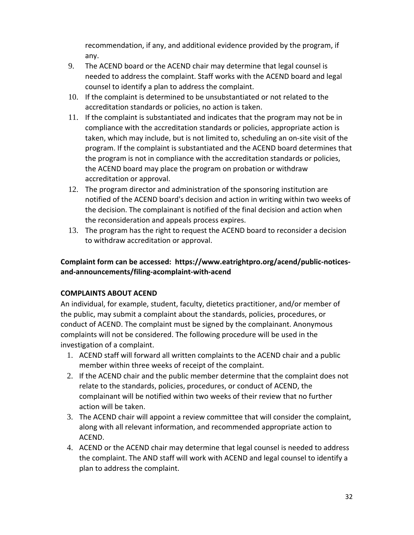recommendation, if any, and additional evidence provided by the program, if any.

- 9. The ACEND board or the ACEND chair may determine that legal counsel is needed to address the complaint. Staff works with the ACEND board and legal counsel to identify a plan to address the complaint.
- 10. If the complaint is determined to be unsubstantiated or not related to the accreditation standards or policies, no action is taken.
- 11. If the complaint is substantiated and indicates that the program may not be in compliance with the accreditation standards or policies, appropriate action is taken, which may include, but is not limited to, scheduling an on-site visit of the program. If the complaint is substantiated and the ACEND board determines that the program is not in compliance with the accreditation standards or policies, the ACEND board may place the program on probation or withdraw accreditation or approval.
- 12. The program director and administration of the sponsoring institution are notified of the ACEND board's decision and action in writing within two weeks of the decision. The complainant is notified of the final decision and action when the reconsideration and appeals process expires.
- 13. The program has the right to request the ACEND board to reconsider a decision to withdraw accreditation or approval.

# **Complaint form can be accessed: https://www.eatrightpro.org/acend/public-noticesand-announcements/filing-acomplaint-with-acend**

# **COMPLAINTS ABOUT ACEND**

An individual, for example, student, faculty, dietetics practitioner, and/or member of the public, may submit a complaint about the standards, policies, procedures, or conduct of ACEND. The complaint must be signed by the complainant. Anonymous complaints will not be considered. The following procedure will be used in the investigation of a complaint.

- 1. ACEND staff will forward all written complaints to the ACEND chair and a public member within three weeks of receipt of the complaint.
- 2. If the ACEND chair and the public member determine that the complaint does not relate to the standards, policies, procedures, or conduct of ACEND, the complainant will be notified within two weeks of their review that no further action will be taken.
- 3. The ACEND chair will appoint a review committee that will consider the complaint, along with all relevant information, and recommended appropriate action to ACEND.
- 4. ACEND or the ACEND chair may determine that legal counsel is needed to address the complaint. The AND staff will work with ACEND and legal counsel to identify a plan to address the complaint.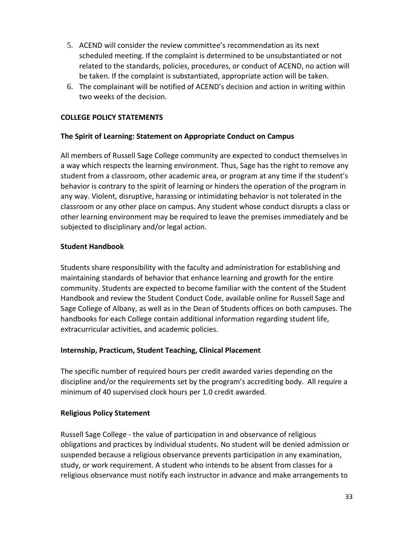- 5. ACEND will consider the review committee's recommendation as its next scheduled meeting. If the complaint is determined to be unsubstantiated or not related to the standards, policies, procedures, or conduct of ACEND, no action will be taken. If the complaint is substantiated, appropriate action will be taken.
- 6. The complainant will be notified of ACEND's decision and action in writing within two weeks of the decision.

# **COLLEGE POLICY STATEMENTS**

### **The Spirit of Learning: Statement on Appropriate Conduct on Campus**

All members of Russell Sage College community are expected to conduct themselves in a way which respects the learning environment. Thus, Sage has the right to remove any student from a classroom, other academic area, or program at any time if the student's behavior is contrary to the spirit of learning or hinders the operation of the program in any way. Violent, disruptive, harassing or intimidating behavior is not tolerated in the classroom or any other place on campus. Any student whose conduct disrupts a class or other learning environment may be required to leave the premises immediately and be subjected to disciplinary and/or legal action.

### **Student Handbook**

Students share responsibility with the faculty and administration for establishing and maintaining standards of behavior that enhance learning and growth for the entire community. Students are expected to become familiar with the content of the Student Handbook and review the Student Conduct Code, available online for Russell Sage and Sage College of Albany, as well as in the Dean of Students offices on both campuses. The handbooks for each College contain additional information regarding student life, extracurricular activities, and academic policies.

### **Internship, Practicum, Student Teaching, Clinical Placement**

The specific number of required hours per credit awarded varies depending on the discipline and/or the requirements set by the program's accrediting body. All require a minimum of 40 supervised clock hours per 1.0 credit awarded.

### **Religious Policy Statement**

Russell Sage College - the value of participation in and observance of religious obligations and practices by individual students. No student will be denied admission or suspended because a religious observance prevents participation in any examination, study, or work requirement. A student who intends to be absent from classes for a religious observance must notify each instructor in advance and make arrangements to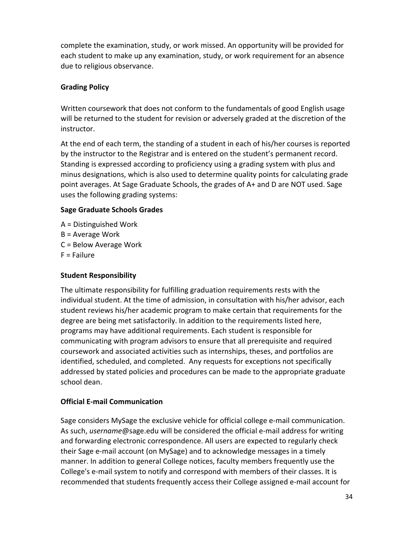complete the examination, study, or work missed. An opportunity will be provided for each student to make up any examination, study, or work requirement for an absence due to religious observance.

# **Grading Policy**

Written coursework that does not conform to the fundamentals of good English usage will be returned to the student for revision or adversely graded at the discretion of the instructor.

At the end of each term, the standing of a student in each of his/her courses is reported by the instructor to the Registrar and is entered on the student's permanent record. Standing is expressed according to proficiency using a grading system with plus and minus designations, which is also used to determine quality points for calculating grade point averages. At Sage Graduate Schools, the grades of A+ and D are NOT used. Sage uses the following grading systems:

# **Sage Graduate Schools Grades**

- A = Distinguished Work
- B = Average Work
- C = Below Average Work
- F = Failure

# **Student Responsibility**

The ultimate responsibility for fulfilling graduation requirements rests with the individual student. At the time of admission, in consultation with his/her advisor, each student reviews his/her academic program to make certain that requirements for the degree are being met satisfactorily. In addition to the requirements listed here, programs may have additional requirements. Each student is responsible for communicating with program advisors to ensure that all prerequisite and required coursework and associated activities such as internships, theses, and portfolios are identified, scheduled, and completed. Any requests for exceptions not specifically addressed by stated policies and procedures can be made to the appropriate graduate school dean.

# **Official E-mail Communication**

Sage considers MySage the exclusive vehicle for official college e-mail communication. As such, *username*@sage.edu will be considered the official e-mail address for writing and forwarding electronic correspondence. All users are expected to regularly check their Sage e-mail account (on MySage) and to acknowledge messages in a timely manner. In addition to general College notices, faculty members frequently use the College's e-mail system to notify and correspond with members of their classes. It is recommended that students frequently access their College assigned e-mail account for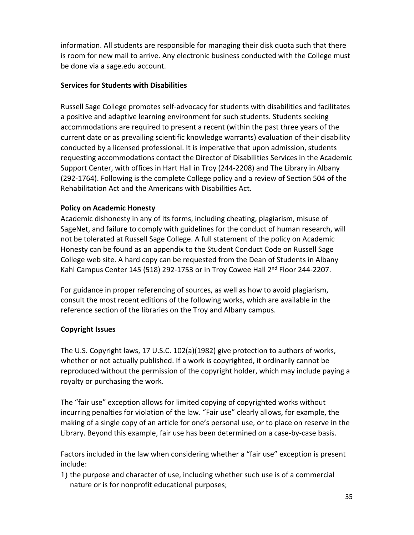information. All students are responsible for managing their disk quota such that there is room for new mail to arrive. Any electronic business conducted with the College must be done via a sage.edu account.

### **Services for Students with Disabilities**

Russell Sage College promotes self-advocacy for students with disabilities and facilitates a positive and adaptive learning environment for such students. Students seeking accommodations are required to present a recent (within the past three years of the current date or as prevailing scientific knowledge warrants) evaluation of their disability conducted by a licensed professional. It is imperative that upon admission, students requesting accommodations contact the Director of Disabilities Services in the Academic Support Center, with offices in Hart Hall in Troy (244-2208) and The Library in Albany (292-1764). Following is the complete College policy and a review of Section 504 of the Rehabilitation Act and the Americans with Disabilities Act.

### **Policy on Academic Honesty**

Academic dishonesty in any of its forms, including cheating, plagiarism, misuse of SageNet, and failure to comply with guidelines for the conduct of human research, will not be tolerated at Russell Sage College. A full statement of the policy on Academic Honesty can be found as an appendix to the Student Conduct Code on Russell Sage College web site. A hard copy can be requested from the Dean of Students in Albany Kahl Campus Center 145 (518) 292-1753 or in Troy Cowee Hall 2<sup>nd</sup> Floor 244-2207.

For guidance in proper referencing of sources, as well as how to avoid plagiarism, consult the most recent editions of the following works, which are available in the reference section of the libraries on the Troy and Albany campus.

# **Copyright Issues**

The U.S. Copyright laws, 17 U.S.C. 102(a)(1982) give protection to authors of works, whether or not actually published. If a work is copyrighted, it ordinarily cannot be reproduced without the permission of the copyright holder, which may include paying a royalty or purchasing the work.

The "fair use" exception allows for limited copying of copyrighted works without incurring penalties for violation of the law. "Fair use" clearly allows, for example, the making of a single copy of an article for one's personal use, or to place on reserve in the Library. Beyond this example, fair use has been determined on a case-by-case basis.

Factors included in the law when considering whether a "fair use" exception is present include:

1) the purpose and character of use, including whether such use is of a commercial nature or is for nonprofit educational purposes;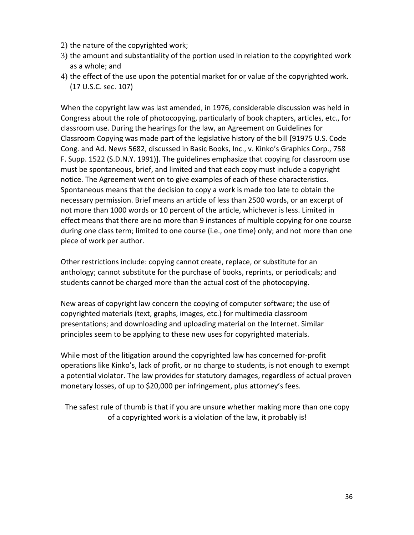- 2) the nature of the copyrighted work;
- 3) the amount and substantiality of the portion used in relation to the copyrighted work as a whole; and
- 4) the effect of the use upon the potential market for or value of the copyrighted work. (17 U.S.C. sec. 107)

When the copyright law was last amended, in 1976, considerable discussion was held in Congress about the role of photocopying, particularly of book chapters, articles, etc., for classroom use. During the hearings for the law, an Agreement on Guidelines for Classroom Copying was made part of the legislative history of the bill [91975 U.S. Code Cong. and Ad. News 5682, discussed in Basic Books, Inc., v. Kinko's Graphics Corp., 758 F. Supp. 1522 (S.D.N.Y. 1991)]. The guidelines emphasize that copying for classroom use must be spontaneous, brief, and limited and that each copy must include a copyright notice. The Agreement went on to give examples of each of these characteristics. Spontaneous means that the decision to copy a work is made too late to obtain the necessary permission. Brief means an article of less than 2500 words, or an excerpt of not more than 1000 words or 10 percent of the article, whichever is less. Limited in effect means that there are no more than 9 instances of multiple copying for one course during one class term; limited to one course (i.e., one time) only; and not more than one piece of work per author.

Other restrictions include: copying cannot create, replace, or substitute for an anthology; cannot substitute for the purchase of books, reprints, or periodicals; and students cannot be charged more than the actual cost of the photocopying.

New areas of copyright law concern the copying of computer software; the use of copyrighted materials (text, graphs, images, etc.) for multimedia classroom presentations; and downloading and uploading material on the Internet. Similar principles seem to be applying to these new uses for copyrighted materials.

While most of the litigation around the copyrighted law has concerned for-profit operations like Kinko's, lack of profit, or no charge to students, is not enough to exempt a potential violator. The law provides for statutory damages, regardless of actual proven monetary losses, of up to \$20,000 per infringement, plus attorney's fees.

The safest rule of thumb is that if you are unsure whether making more than one copy of a copyrighted work is a violation of the law, it probably is!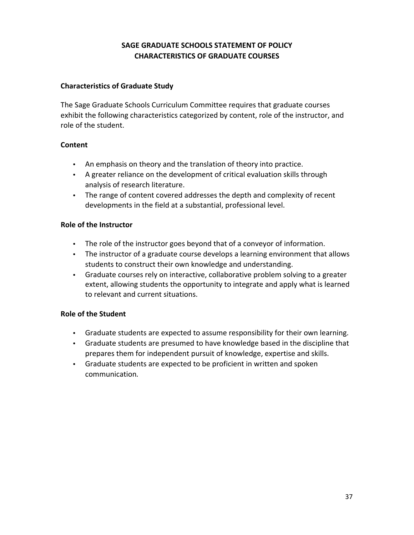# **SAGE GRADUATE SCHOOLS STATEMENT OF POLICY CHARACTERISTICS OF GRADUATE COURSES**

# **Characteristics of Graduate Study**

The Sage Graduate Schools Curriculum Committee requires that graduate courses exhibit the following characteristics categorized by content, role of the instructor, and role of the student.

### **Content**

- An emphasis on theory and the translation of theory into practice.
- A greater reliance on the development of critical evaluation skills through analysis of research literature.
- The range of content covered addresses the depth and complexity of recent developments in the field at a substantial, professional level.

### **Role of the Instructor**

- The role of the instructor goes beyond that of a conveyor of information.
- The instructor of a graduate course develops a learning environment that allows students to construct their own knowledge and understanding.
- Graduate courses rely on interactive, collaborative problem solving to a greater extent, allowing students the opportunity to integrate and apply what is learned to relevant and current situations.

# **Role of the Student**

- Graduate students are expected to assume responsibility for their own learning.
- Graduate students are presumed to have knowledge based in the discipline that prepares them for independent pursuit of knowledge, expertise and skills.
- Graduate students are expected to be proficient in written and spoken communication*.*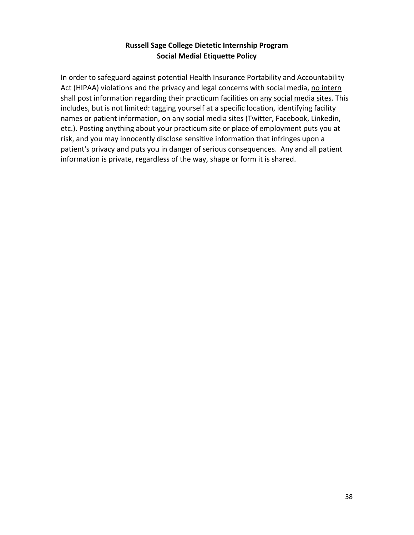# **Russell Sage College Dietetic Internship Program Social Medial Etiquette Policy**

In order to safeguard against potential Health Insurance Portability and Accountability Act (HIPAA) violations and the privacy and legal concerns with social media, no intern shall post information regarding their practicum facilities on any social media sites. This includes, but is not limited: tagging yourself at a specific location, identifying facility names or patient information, on any social media sites (Twitter, Facebook, Linkedin, etc.). Posting anything about your practicum site or place of employment puts you at risk, and you may innocently disclose sensitive information that infringes upon a patient's privacy and puts you in danger of serious consequences. Any and all patient information is private, regardless of the way, shape or form it is shared.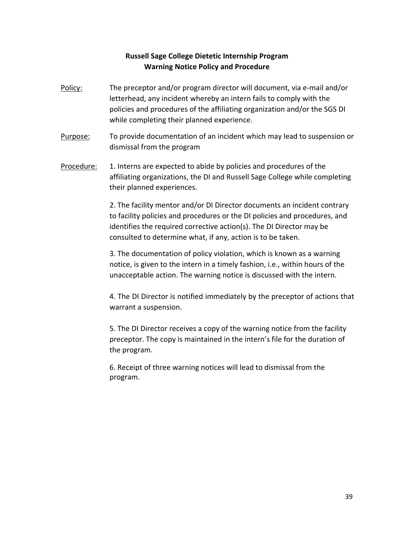# **Russell Sage College Dietetic Internship Program Warning Notice Policy and Procedure**

- Policy: The preceptor and/or program director will document, via e-mail and/or letterhead, any incident whereby an intern fails to comply with the policies and procedures of the affiliating organization and/or the SGS DI while completing their planned experience.
- Purpose: To provide documentation of an incident which may lead to suspension or dismissal from the program
- Procedure: 1. Interns are expected to abide by policies and procedures of the affiliating organizations, the DI and Russell Sage College while completing their planned experiences.

2. The facility mentor and/or DI Director documents an incident contrary to facility policies and procedures or the DI policies and procedures, and identifies the required corrective action(s). The DI Director may be consulted to determine what, if any, action is to be taken.

3. The documentation of policy violation, which is known as a warning notice, is given to the intern in a timely fashion, i.e., within hours of the unacceptable action. The warning notice is discussed with the intern.

4. The DI Director is notified immediately by the preceptor of actions that warrant a suspension.

5. The DI Director receives a copy of the warning notice from the facility preceptor. The copy is maintained in the intern's file for the duration of the program.

6. Receipt of three warning notices will lead to dismissal from the program.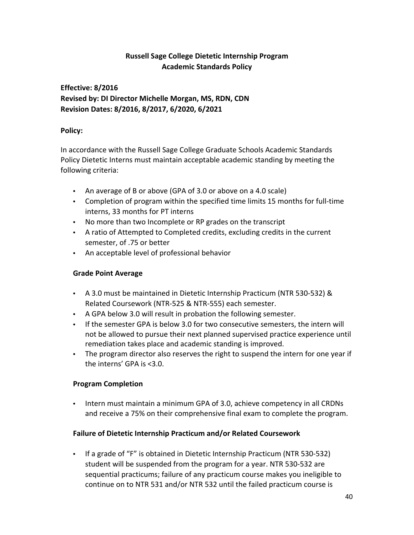# **Russell Sage College Dietetic Internship Program Academic Standards Policy**

# **Effective: 8/2016 Revised by: DI Director Michelle Morgan, MS, RDN, CDN Revision Dates: 8/2016, 8/2017, 6/2020, 6/2021**

### **Policy:**

In accordance with the Russell Sage College Graduate Schools Academic Standards Policy Dietetic Interns must maintain acceptable academic standing by meeting the following criteria:

- An average of B or above (GPA of 3.0 or above on a 4.0 scale)
- Completion of program within the specified time limits 15 months for full-time interns, 33 months for PT interns
- No more than two Incomplete or RP grades on the transcript
- A ratio of Attempted to Completed credits, excluding credits in the current semester, of .75 or better
- An acceptable level of professional behavior

# **Grade Point Average**

- A 3.0 must be maintained in Dietetic Internship Practicum (NTR 530-532) & Related Coursework (NTR-525 & NTR-555) each semester.
- A GPA below 3.0 will result in probation the following semester.
- If the semester GPA is below 3.0 for two consecutive semesters, the intern will not be allowed to pursue their next planned supervised practice experience until remediation takes place and academic standing is improved.
- The program director also reserves the right to suspend the intern for one year if the interns' GPA is <3.0.

# **Program Completion**

• Intern must maintain a minimum GPA of 3.0, achieve competency in all CRDNs and receive a 75% on their comprehensive final exam to complete the program.

# **Failure of Dietetic Internship Practicum and/or Related Coursework**

• If a grade of "F" is obtained in Dietetic Internship Practicum (NTR 530-532) student will be suspended from the program for a year. NTR 530-532 are sequential practicums; failure of any practicum course makes you ineligible to continue on to NTR 531 and/or NTR 532 until the failed practicum course is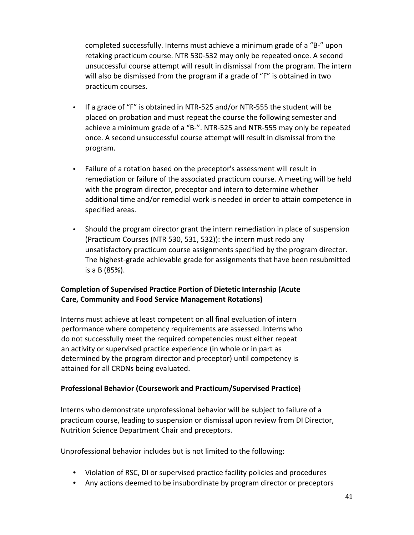completed successfully. Interns must achieve a minimum grade of a "B-" upon retaking practicum course. NTR 530-532 may only be repeated once. A second unsuccessful course attempt will result in dismissal from the program. The intern will also be dismissed from the program if a grade of "F" is obtained in two practicum courses.

- If a grade of "F" is obtained in NTR-525 and/or NTR-555 the student will be placed on probation and must repeat the course the following semester and achieve a minimum grade of a "B-". NTR-525 and NTR-555 may only be repeated once. A second unsuccessful course attempt will result in dismissal from the program.
- Failure of a rotation based on the preceptor's assessment will result in remediation or failure of the associated practicum course. A meeting will be held with the program director, preceptor and intern to determine whether additional time and/or remedial work is needed in order to attain competence in specified areas.
- Should the program director grant the intern remediation in place of suspension (Practicum Courses (NTR 530, 531, 532)): the intern must redo any unsatisfactory practicum course assignments specified by the program director. The highest-grade achievable grade for assignments that have been resubmitted is a B (85%).

# **Completion of Supervised Practice Portion of Dietetic Internship (Acute Care, Community and Food Service Management Rotations)**

Interns must achieve at least competent on all final evaluation of intern performance where competency requirements are assessed. Interns who do not successfully meet the required competencies must either repeat an activity or supervised practice experience (in whole or in part as determined by the program director and preceptor) until competency is attained for all CRDNs being evaluated.

# **Professional Behavior (Coursework and Practicum/Supervised Practice)**

Interns who demonstrate unprofessional behavior will be subject to failure of a practicum course, leading to suspension or dismissal upon review from DI Director, Nutrition Science Department Chair and preceptors.

Unprofessional behavior includes but is not limited to the following:

- Violation of RSC, DI or supervised practice facility policies and procedures
- Any actions deemed to be insubordinate by program director or preceptors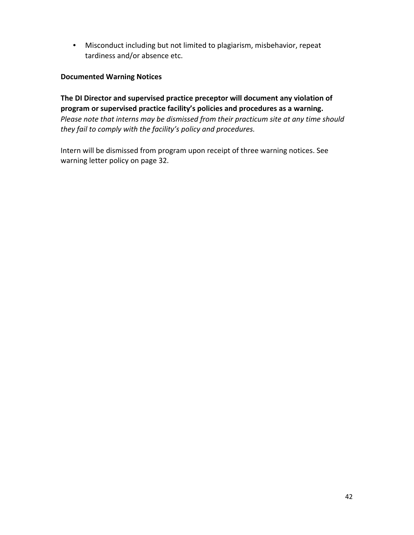• Misconduct including but not limited to plagiarism, misbehavior, repeat tardiness and/or absence etc.

### **Documented Warning Notices**

**The DI Director and supervised practice preceptor will document any violation of program or supervised practice facility's policies and procedures as a warning.**  *Please note that interns may be dismissed from their practicum site at any time should they fail to comply with the facility's policy and procedures.* 

Intern will be dismissed from program upon receipt of three warning notices. See warning letter policy on page 32.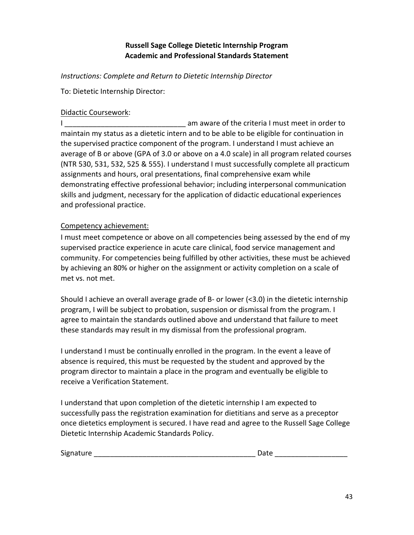# **Russell Sage College Dietetic Internship Program Academic and Professional Standards Statement**

*Instructions: Complete and Return to Dietetic Internship Director*

To: Dietetic Internship Director:

### Didactic Coursework:

I Letter and the criteria I must meet in order to a metal of the criteria I must meet in order to maintain my status as a dietetic intern and to be able to be eligible for continuation in the supervised practice component of the program. I understand I must achieve an average of B or above (GPA of 3.0 or above on a 4.0 scale) in all program related courses (NTR 530, 531, 532, 525 & 555). I understand I must successfully complete all practicum assignments and hours, oral presentations, final comprehensive exam while demonstrating effective professional behavior; including interpersonal communication skills and judgment, necessary for the application of didactic educational experiences and professional practice.

### Competency achievement:

I must meet competence or above on all competencies being assessed by the end of my supervised practice experience in acute care clinical, food service management and community. For competencies being fulfilled by other activities, these must be achieved by achieving an 80% or higher on the assignment or activity completion on a scale of met vs. not met.

Should I achieve an overall average grade of B- or lower (<3.0) in the dietetic internship program, I will be subject to probation, suspension or dismissal from the program. I agree to maintain the standards outlined above and understand that failure to meet these standards may result in my dismissal from the professional program.

I understand I must be continually enrolled in the program. In the event a leave of absence is required, this must be requested by the student and approved by the program director to maintain a place in the program and eventually be eligible to receive a Verification Statement.

I understand that upon completion of the dietetic internship I am expected to successfully pass the registration examination for dietitians and serve as a preceptor once dietetics employment is secured. I have read and agree to the Russell Sage College Dietetic Internship Academic Standards Policy.

| Signature<br>$\sim$ |  |
|---------------------|--|
|---------------------|--|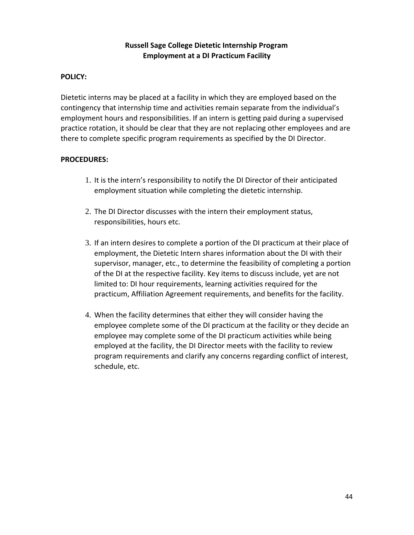# **Russell Sage College Dietetic Internship Program Employment at a DI Practicum Facility**

### **POLICY:**

Dietetic interns may be placed at a facility in which they are employed based on the contingency that internship time and activities remain separate from the individual's employment hours and responsibilities. If an intern is getting paid during a supervised practice rotation, it should be clear that they are not replacing other employees and are there to complete specific program requirements as specified by the DI Director.

### **PROCEDURES:**

- 1. It is the intern's responsibility to notify the DI Director of their anticipated employment situation while completing the dietetic internship.
- 2. The DI Director discusses with the intern their employment status, responsibilities, hours etc.
- 3. If an intern desires to complete a portion of the DI practicum at their place of employment, the Dietetic Intern shares information about the DI with their supervisor, manager, etc., to determine the feasibility of completing a portion of the DI at the respective facility. Key items to discuss include, yet are not limited to: DI hour requirements, learning activities required for the practicum, Affiliation Agreement requirements, and benefits for the facility.
- 4. When the facility determines that either they will consider having the employee complete some of the DI practicum at the facility or they decide an employee may complete some of the DI practicum activities while being employed at the facility, the DI Director meets with the facility to review program requirements and clarify any concerns regarding conflict of interest, schedule, etc.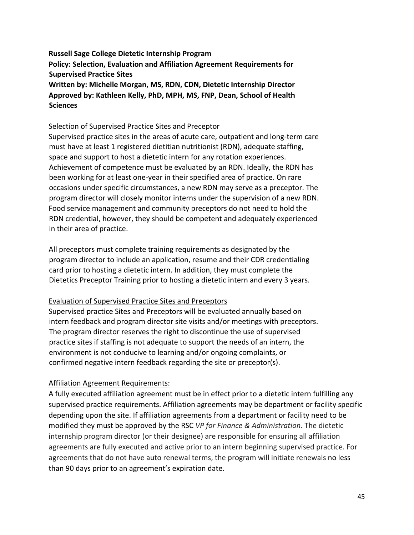**Russell Sage College Dietetic Internship Program Policy: Selection, Evaluation and Affiliation Agreement Requirements for Supervised Practice Sites Written by: Michelle Morgan, MS, RDN, CDN, Dietetic Internship Director Approved by: Kathleen Kelly, PhD, MPH, MS, FNP, Dean, School of Health Sciences**

### Selection of Supervised Practice Sites and Preceptor

Supervised practice sites in the areas of acute care, outpatient and long-term care must have at least 1 registered dietitian nutritionist (RDN), adequate staffing, space and support to host a dietetic intern for any rotation experiences. Achievement of competence must be evaluated by an RDN. Ideally, the RDN has been working for at least one-year in their specified area of practice. On rare occasions under specific circumstances, a new RDN may serve as a preceptor. The program director will closely monitor interns under the supervision of a new RDN. Food service management and community preceptors do not need to hold the RDN credential, however, they should be competent and adequately experienced in their area of practice.

All preceptors must complete training requirements as designated by the program director to include an application, resume and their CDR credentialing card prior to hosting a dietetic intern. In addition, they must complete the Dietetics Preceptor Training prior to hosting a dietetic intern and every 3 years.

### Evaluation of Supervised Practice Sites and Preceptors

Supervised practice Sites and Preceptors will be evaluated annually based on intern feedback and program director site visits and/or meetings with preceptors. The program director reserves the right to discontinue the use of supervised practice sites if staffing is not adequate to support the needs of an intern, the environment is not conducive to learning and/or ongoing complaints, or confirmed negative intern feedback regarding the site or preceptor(s).

# Affiliation Agreement Requirements:

A fully executed affiliation agreement must be in effect prior to a dietetic intern fulfilling any supervised practice requirements. Affiliation agreements may be department or facility specific depending upon the site. If affiliation agreements from a department or facility need to be modified they must be approved by the RSC *VP for Finance & Administration.* The dietetic internship program director (or their designee) are responsible for ensuring all affiliation agreements are fully executed and active prior to an intern beginning supervised practice. For agreements that do not have auto renewal terms, the program will initiate renewals no less than 90 days prior to an agreement's expiration date.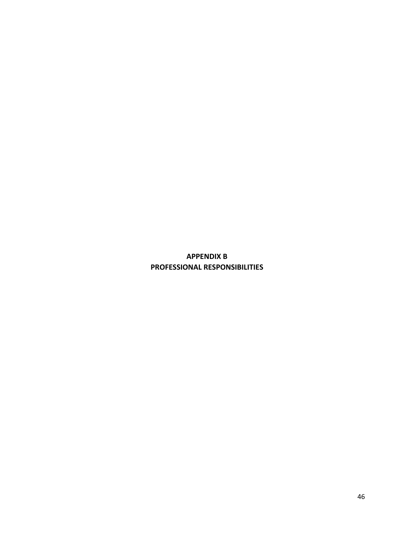# **APPENDIX B PROFESSIONAL RESPONSIBILITIES**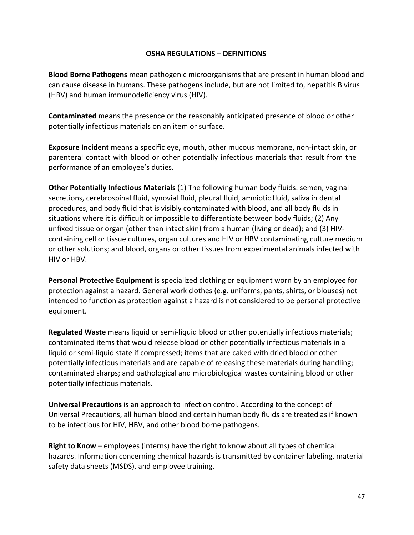### **OSHA REGULATIONS – DEFINITIONS**

**Blood Borne Pathogens** mean pathogenic microorganisms that are present in human blood and can cause disease in humans. These pathogens include, but are not limited to, hepatitis B virus (HBV) and human immunodeficiency virus (HIV).

**Contaminated** means the presence or the reasonably anticipated presence of blood or other potentially infectious materials on an item or surface.

**Exposure Incident** means a specific eye, mouth, other mucous membrane, non-intact skin, or parenteral contact with blood or other potentially infectious materials that result from the performance of an employee's duties.

**Other Potentially Infectious Materials** (1) The following human body fluids: semen, vaginal secretions, cerebrospinal fluid, synovial fluid, pleural fluid, amniotic fluid, saliva in dental procedures, and body fluid that is visibly contaminated with blood, and all body fluids in situations where it is difficult or impossible to differentiate between body fluids; (2) Any unfixed tissue or organ (other than intact skin) from a human (living or dead); and (3) HIVcontaining cell or tissue cultures, organ cultures and HIV or HBV contaminating culture medium or other solutions; and blood, organs or other tissues from experimental animals infected with HIV or HBV.

**Personal Protective Equipment** is specialized clothing or equipment worn by an employee for protection against a hazard. General work clothes (e.g. uniforms, pants, shirts, or blouses) not intended to function as protection against a hazard is not considered to be personal protective equipment.

**Regulated Waste** means liquid or semi-liquid blood or other potentially infectious materials; contaminated items that would release blood or other potentially infectious materials in a liquid or semi-liquid state if compressed; items that are caked with dried blood or other potentially infectious materials and are capable of releasing these materials during handling; contaminated sharps; and pathological and microbiological wastes containing blood or other potentially infectious materials.

**Universal Precautions** is an approach to infection control. According to the concept of Universal Precautions, all human blood and certain human body fluids are treated as if known to be infectious for HIV, HBV, and other blood borne pathogens.

**Right to Know** – employees (interns) have the right to know about all types of chemical hazards. Information concerning chemical hazards is transmitted by container labeling, material safety data sheets (MSDS), and employee training.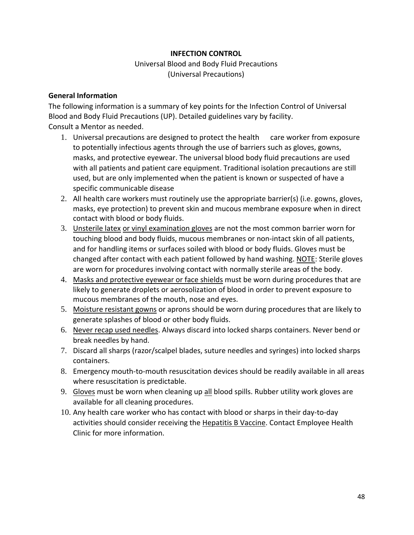# **INFECTION CONTROL**

Universal Blood and Body Fluid Precautions (Universal Precautions)

#### **General Information**

The following information is a summary of key points for the Infection Control of Universal Blood and Body Fluid Precautions (UP). Detailed guidelines vary by facility. Consult a Mentor as needed.

- 1. Universal precautions are designed to protect the health care worker from exposure to potentially infectious agents through the use of barriers such as gloves, gowns, masks, and protective eyewear. The universal blood body fluid precautions are used with all patients and patient care equipment. Traditional isolation precautions are still used, but are only implemented when the patient is known or suspected of have a specific communicable disease
- 2. All health care workers must routinely use the appropriate barrier(s) (i.e. gowns, gloves, masks, eye protection) to prevent skin and mucous membrane exposure when in direct contact with blood or body fluids.
- 3. Unsterile latex or vinyl examination gloves are not the most common barrier worn for touching blood and body fluids, mucous membranes or non-intact skin of all patients, and for handling items or surfaces soiled with blood or body fluids. Gloves must be changed after contact with each patient followed by hand washing. NOTE: Sterile gloves are worn for procedures involving contact with normally sterile areas of the body.
- 4. Masks and protective eyewear or face shields must be worn during procedures that are likely to generate droplets or aerosolization of blood in order to prevent exposure to mucous membranes of the mouth, nose and eyes.
- 5. Moisture resistant gowns or aprons should be worn during procedures that are likely to generate splashes of blood or other body fluids.
- 6. Never recap used needles. Always discard into locked sharps containers. Never bend or break needles by hand.
- 7. Discard all sharps (razor/scalpel blades, suture needles and syringes) into locked sharps containers.
- 8. Emergency mouth-to-mouth resuscitation devices should be readily available in all areas where resuscitation is predictable.
- 9. Gloves must be worn when cleaning up all blood spills. Rubber utility work gloves are available for all cleaning procedures.
- 10. Any health care worker who has contact with blood or sharps in their day-to-day activities should consider receiving the Hepatitis B Vaccine. Contact Employee Health Clinic for more information.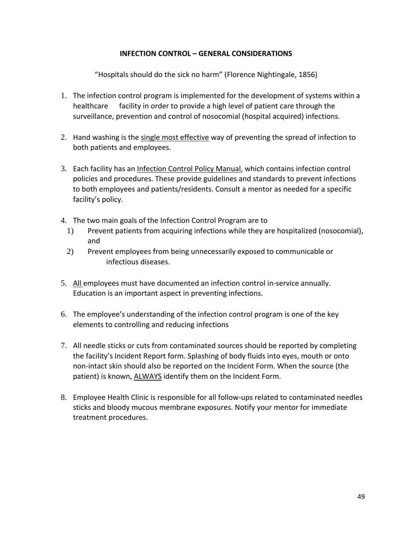# **INFECTION CONTROL – GENERAL CONSIDERATIONS**

"Hospitals should do the sick no harm" (Florence Nightingale, 1856)

- 1. The infection control program is implemented for the development of systems within a healthcare facility in order to provide a high level of patient care through the surveillance, prevention and control of nosocomial (hospital acquired) infections.
- 2. Hand washing is the single most effective way of preventing the spread of infection to both patients and employees.
- 3. Each facility has an Infection Control Policy Manual, which contains infection control policies and procedures. These provide guidelines and standards to prevent infections to both employees and patients/residents. Consult a mentor as needed for a specific facility's policy.
- 4. The two main goals of the Infection Control Program are to
	- 1) Prevent patients from acquiring infections while they are hospitalized (nosocomial), and
	- 2) Prevent employees from being unnecessarily exposed to communicable or infectious diseases.
- 5. All employees must have documented an infection control in-service annually. Education is an important aspect in preventing infections.
- 6. The employee's understanding of the infection control program is one of the key elements to controlling and reducing infections
- 7. All needle sticks or cuts from contaminated sources should be reported by completing the facility's Incident Report form. Splashing of body fluids into eyes, mouth or onto non-intact skin should also be reported on the Incident Form. When the source (the patient) is known, ALWAYS identify them on the Incident Form.
- 8. Employee Health Clinic is responsible for all follow-ups related to contaminated needles sticks and bloody mucous membrane exposures. Notify your mentor for immediate treatment procedures.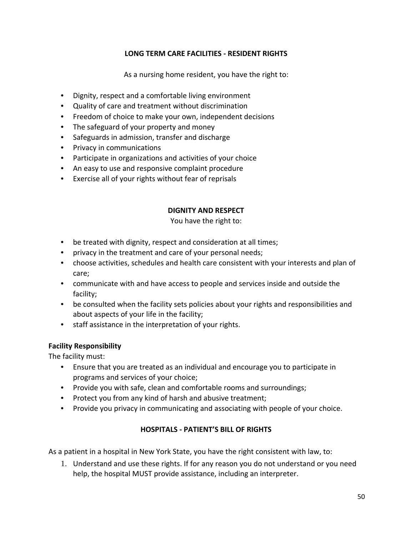# **LONG TERM CARE FACILITIES - RESIDENT RIGHTS**

As a nursing home resident, you have the right to:

- Dignity, respect and a comfortable living environment
- Quality of care and treatment without discrimination
- Freedom of choice to make your own, independent decisions
- The safeguard of your property and money
- Safeguards in admission, transfer and discharge
- Privacy in communications
- Participate in organizations and activities of your choice
- An easy to use and responsive complaint procedure
- Exercise all of your rights without fear of reprisals

### **DIGNITY AND RESPECT**

### You have the right to:

- be treated with dignity, respect and consideration at all times;
- privacy in the treatment and care of your personal needs;
- choose activities, schedules and health care consistent with your interests and plan of care;
- communicate with and have access to people and services inside and outside the facility;
- be consulted when the facility sets policies about your rights and responsibilities and about aspects of your life in the facility;
- staff assistance in the interpretation of your rights.

### **Facility Responsibility**

The facility must:

- Ensure that you are treated as an individual and encourage you to participate in programs and services of your choice;
- Provide you with safe, clean and comfortable rooms and surroundings;
- Protect you from any kind of harsh and abusive treatment;
- Provide you privacy in communicating and associating with people of your choice.

# **HOSPITALS - PATIENT'S BILL OF RIGHTS**

As a patient in a hospital in New York State, you have the right consistent with law, to:

1. Understand and use these rights. If for any reason you do not understand or you need help, the hospital MUST provide assistance, including an interpreter.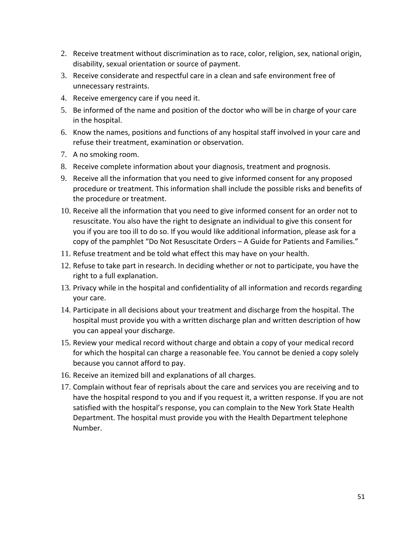- 2. Receive treatment without discrimination as to race, color, religion, sex, national origin, disability, sexual orientation or source of payment.
- 3. Receive considerate and respectful care in a clean and safe environment free of unnecessary restraints.
- 4. Receive emergency care if you need it.
- 5. Be informed of the name and position of the doctor who will be in charge of your care in the hospital.
- 6. Know the names, positions and functions of any hospital staff involved in your care and refuse their treatment, examination or observation.
- 7. A no smoking room.
- 8. Receive complete information about your diagnosis, treatment and prognosis.
- 9. Receive all the information that you need to give informed consent for any proposed procedure or treatment. This information shall include the possible risks and benefits of the procedure or treatment.
- 10. Receive all the information that you need to give informed consent for an order not to resuscitate. You also have the right to designate an individual to give this consent for you if you are too ill to do so. If you would like additional information, please ask for a copy of the pamphlet "Do Not Resuscitate Orders – A Guide for Patients and Families."
- 11. Refuse treatment and be told what effect this may have on your health.
- 12. Refuse to take part in research. In deciding whether or not to participate, you have the right to a full explanation.
- 13. Privacy while in the hospital and confidentiality of all information and records regarding your care.
- 14. Participate in all decisions about your treatment and discharge from the hospital. The hospital must provide you with a written discharge plan and written description of how you can appeal your discharge.
- 15. Review your medical record without charge and obtain a copy of your medical record for which the hospital can charge a reasonable fee. You cannot be denied a copy solely because you cannot afford to pay.
- 16. Receive an itemized bill and explanations of all charges.
- 17. Complain without fear of reprisals about the care and services you are receiving and to have the hospital respond to you and if you request it, a written response. If you are not satisfied with the hospital's response, you can complain to the New York State Health Department. The hospital must provide you with the Health Department telephone Number.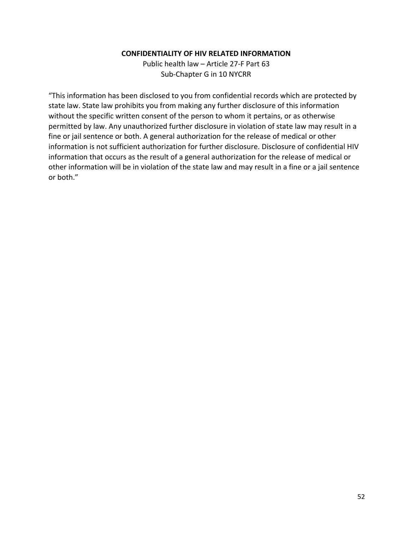#### **CONFIDENTIALITY OF HIV RELATED INFORMATION**

Public health law – Article 27-F Part 63 Sub-Chapter G in 10 NYCRR

"This information has been disclosed to you from confidential records which are protected by state law. State law prohibits you from making any further disclosure of this information without the specific written consent of the person to whom it pertains, or as otherwise permitted by law. Any unauthorized further disclosure in violation of state law may result in a fine or jail sentence or both. A general authorization for the release of medical or other information is not sufficient authorization for further disclosure. Disclosure of confidential HIV information that occurs as the result of a general authorization for the release of medical or other information will be in violation of the state law and may result in a fine or a jail sentence or both."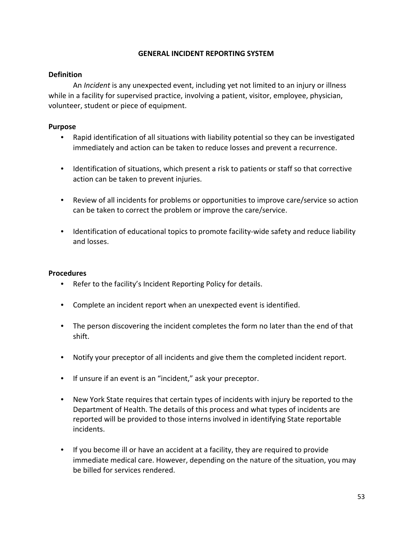### **GENERAL INCIDENT REPORTING SYSTEM**

# **Definition**

 An *Incident* is any unexpected event, including yet not limited to an injury or illness while in a facility for supervised practice, involving a patient, visitor, employee, physician, volunteer, student or piece of equipment.

### **Purpose**

- Rapid identification of all situations with liability potential so they can be investigated immediately and action can be taken to reduce losses and prevent a recurrence.
- Identification of situations, which present a risk to patients or staff so that corrective action can be taken to prevent injuries.
- Review of all incidents for problems or opportunities to improve care/service so action can be taken to correct the problem or improve the care/service.
- Identification of educational topics to promote facility-wide safety and reduce liability and losses.

### **Procedures**

- Refer to the facility's Incident Reporting Policy for details.
- Complete an incident report when an unexpected event is identified.
- The person discovering the incident completes the form no later than the end of that shift.
- Notify your preceptor of all incidents and give them the completed incident report.
- If unsure if an event is an "incident," ask your preceptor.
- New York State requires that certain types of incidents with injury be reported to the Department of Health. The details of this process and what types of incidents are reported will be provided to those interns involved in identifying State reportable incidents.
- If you become ill or have an accident at a facility, they are required to provide immediate medical care. However, depending on the nature of the situation, you may be billed for services rendered.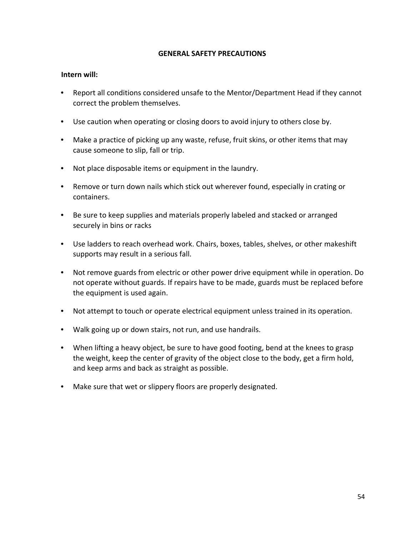### **GENERAL SAFETY PRECAUTIONS**

### **Intern will:**

- Report all conditions considered unsafe to the Mentor/Department Head if they cannot correct the problem themselves.
- Use caution when operating or closing doors to avoid injury to others close by.
- Make a practice of picking up any waste, refuse, fruit skins, or other items that may cause someone to slip, fall or trip.
- Not place disposable items or equipment in the laundry.
- Remove or turn down nails which stick out wherever found, especially in crating or containers.
- Be sure to keep supplies and materials properly labeled and stacked or arranged securely in bins or racks
- Use ladders to reach overhead work. Chairs, boxes, tables, shelves, or other makeshift supports may result in a serious fall.
- Not remove guards from electric or other power drive equipment while in operation. Do not operate without guards. If repairs have to be made, guards must be replaced before the equipment is used again.
- Not attempt to touch or operate electrical equipment unless trained in its operation.
- Walk going up or down stairs, not run, and use handrails.
- When lifting a heavy object, be sure to have good footing, bend at the knees to grasp the weight, keep the center of gravity of the object close to the body, get a firm hold, and keep arms and back as straight as possible.
- Make sure that wet or slippery floors are properly designated.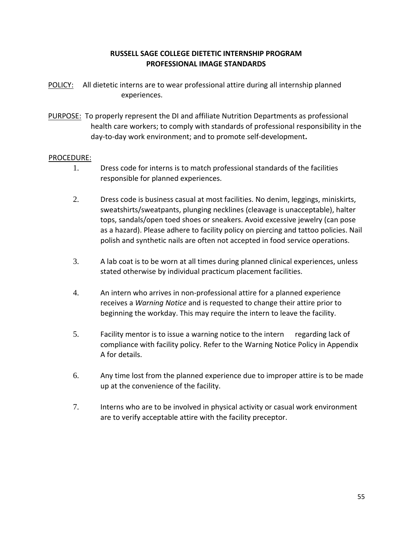# **RUSSELL SAGE COLLEGE DIETETIC INTERNSHIP PROGRAM PROFESSIONAL IMAGE STANDARDS**

- POLICY: All dietetic interns are to wear professional attire during all internship planned experiences.
- PURPOSE: To properly represent the DI and affiliate Nutrition Departments as professional health care workers; to comply with standards of professional responsibility in the day-to-day work environment; and to promote self-development**.**

### PROCEDURE:

- 1. Dress code for interns is to match professional standards of the facilities responsible for planned experiences.
- 2. Dress code is business casual at most facilities. No denim, leggings, miniskirts, sweatshirts/sweatpants, plunging necklines (cleavage is unacceptable), halter tops, sandals/open toed shoes or sneakers. Avoid excessive jewelry (can pose as a hazard). Please adhere to facility policy on piercing and tattoo policies. Nail polish and synthetic nails are often not accepted in food service operations.
- 3. A lab coat is to be worn at all times during planned clinical experiences, unless stated otherwise by individual practicum placement facilities.
- 4. An intern who arrives in non-professional attire for a planned experience receives a *Warning Notice* and is requested to change their attire prior to beginning the workday. This may require the intern to leave the facility.
- 5. Facility mentor is to issue a warning notice to the intern regarding lack of compliance with facility policy. Refer to the Warning Notice Policy in Appendix A for details.
- 6. Any time lost from the planned experience due to improper attire is to be made up at the convenience of the facility.
- 7. Interns who are to be involved in physical activity or casual work environment are to verify acceptable attire with the facility preceptor.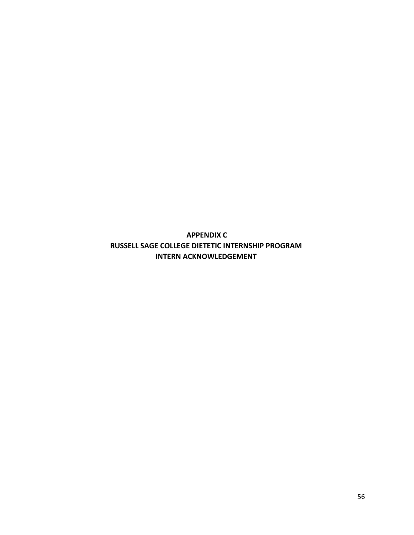**APPENDIX C RUSSELL SAGE COLLEGE DIETETIC INTERNSHIP PROGRAM INTERN ACKNOWLEDGEMENT**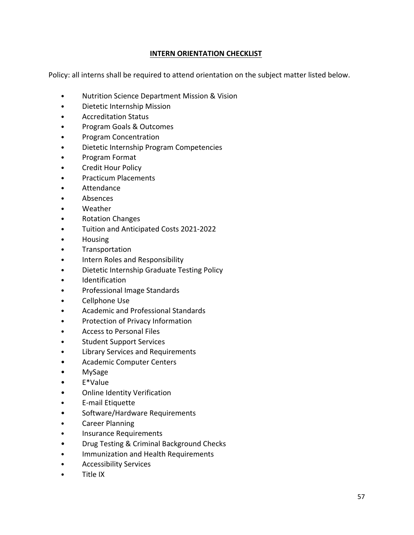# **INTERN ORIENTATION CHECKLIST**

Policy: all interns shall be required to attend orientation on the subject matter listed below.

- Nutrition Science Department Mission & Vision
- Dietetic Internship Mission
- Accreditation Status
- Program Goals & Outcomes
- Program Concentration
- Dietetic Internship Program Competencies
- Program Format
- Credit Hour Policy
- Practicum Placements
- Attendance
- Absences
- Weather
- Rotation Changes
- Tuition and Anticipated Costs 2021-2022
- Housing
- **Transportation**
- Intern Roles and Responsibility
- Dietetic Internship Graduate Testing Policy
- Identification
- Professional Image Standards
- Cellphone Use
- Academic and Professional Standards
- Protection of Privacy Information
- Access to Personal Files
- Student Support Services
- Library Services and Requirements
- Academic Computer Centers
- MySage
- E\*Value
- Online Identity Verification
- E-mail Etiquette
- Software/Hardware Requirements
- Career Planning
- Insurance Requirements
- Drug Testing & Criminal Background Checks
- Immunization and Health Requirements
- Accessibility Services
- Title IX